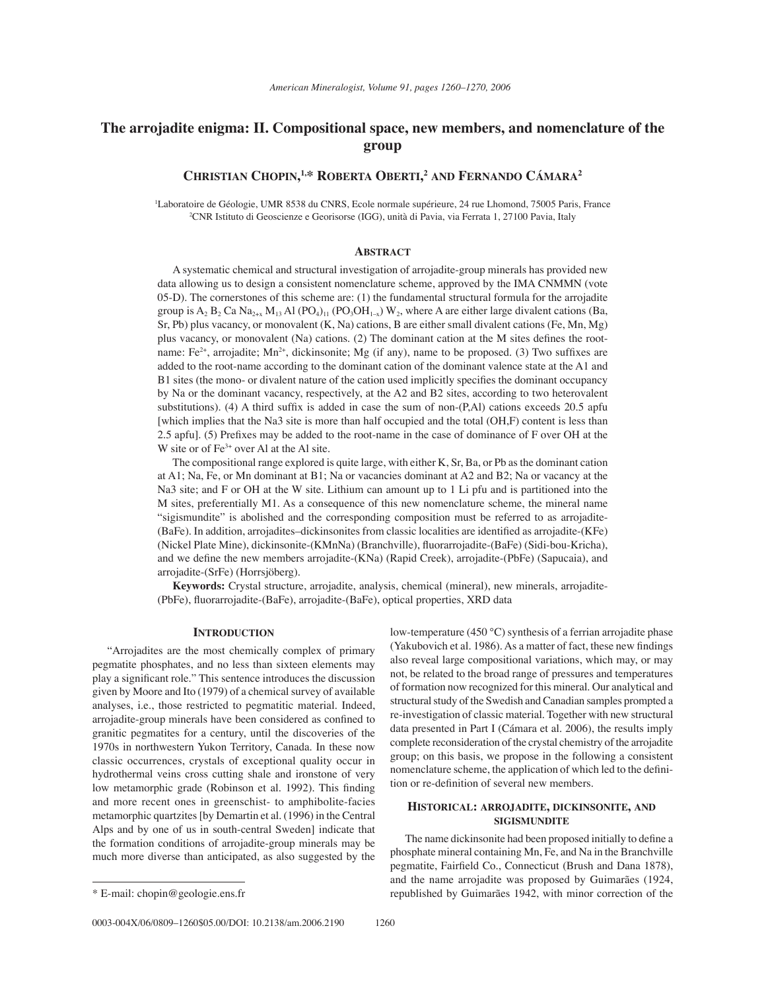# **The arrojadite enigma: II. Compositional space, new members, and nomenclature of the group**

## **CHRISTIAN CHOPIN, 1,\* ROBERTA OBERTI, <sup>2</sup> AND FERNANDO C£MARA2**

'Laboratoire de Géologie, UMR 8538 du CNRS, Ecole normale supérieure, 24 rue Lhomond, 75005 Paris, France <sup>2</sup>CNR Istituto di Geoscienze e Georisorse (IGG), unità di Pavia, via Ferrata 1, 27100 Pavia, Italy

## **ABSTRACT**

A systematic chemical and structural investigation of arrojadite-group minerals has provided new data allowing us to design a consistent nomenclature scheme, approved by the IMA CNMMN (vote 05-D). The cornerstones of this scheme are: (1) the fundamental structural formula for the arrojadite group is  $A_2 B_2 C a Na_{2+x} M_{13} Al (PO_4)_{11} (PO_3OH_{1-x}) W_2$ , where A are either large divalent cations (Ba, Sr, Pb) plus vacancy, or monovalent (K, Na) cations, B are either small divalent cations (Fe, Mn, Mg) plus vacancy, or monovalent (Na) cations.  $(2)$  The dominant cation at the M sites defines the rootname: Fe<sup>2+</sup>, arrojadite;  $Mn^{2+}$ , dickinsonite; Mg (if any), name to be proposed. (3) Two suffixes are added to the root-name according to the dominant cation of the dominant valence state at the A1 and B1 sites (the mono- or divalent nature of the cation used implicitly specifies the dominant occupancy by Na or the dominant vacancy, respectively, at the A2 and B2 sites, according to two heterovalent substitutions). (4) A third suffix is added in case the sum of non- $(P,A)$  cations exceeds 20.5 apfu [which implies that the Na3 site is more than half occupied and the total (OH,F) content is less than 2.5 apful. (5) Prefixes may be added to the root-name in the case of dominance of F over OH at the W site or of Fe<sup>3+</sup> over Al at the Al site.

The compositional range explored is quite large, with either K, Sr, Ba, or Pb as the dominant cation at A1; Na, Fe, or Mn dominant at B1; Na or vacancies dominant at A2 and B2; Na or vacancy at the Na3 site; and F or OH at the W site. Lithium can amount up to 1 Li pfu and is partitioned into the M sites, preferentially M1. As a consequence of this new nomenclature scheme, the mineral name ìsigismunditeî is abolished and the corresponding composition must be referred to as arrojadite-  $(BaFe)$ . In addition, arrojadites–dickinsonites from classic localities are identified as arrojadite- $(KFe)$ (Nickel Plate Mine), dickinsonite-(KMnNa) (Branchville), fl uorarrojadite-(BaFe) (Sidi-bou-Kricha), and we define the new members arrojadite-(KNa) (Rapid Creek), arrojadite-(PbFe) (Sapucaia), and arrojadite-(SrFe) (Horrsjöberg).

**Keywords:** Crystal structure, arrojadite, analysis, chemical (mineral), new minerals, arrojadite- (PbFe), fl uorarrojadite-(BaFe), arrojadite-(BaFe), optical properties, XRD data

## **INTRODUCTION**

ìArrojadites are the most chemically complex of primary pegmatite phosphates, and no less than sixteen elements may play a significant role." This sentence introduces the discussion given by Moore and Ito (1979) of a chemical survey of available analyses, i.e., those restricted to pegmatitic material. Indeed, arrojadite-group minerals have been considered as confined to granitic pegmatites for a century, until the discoveries of the 1970s in northwestern Yukon Territory, Canada. In these now classic occurrences, crystals of exceptional quality occur in hydrothermal veins cross cutting shale and ironstone of very low metamorphic grade (Robinson et al. 1992). This finding and more recent ones in greenschist- to amphibolite-facies metamorphic quartzites [by Demartin et al. (1996) in the Central Alps and by one of us in south-central Sweden] indicate that the formation conditions of arrojadite-group minerals may be much more diverse than anticipated, as also suggested by the

low-temperature (450 °C) synthesis of a ferrian arrojadite phase (Yakubovich et al. 1986). As a matter of fact, these new findings also reveal large compositional variations, which may, or may not, be related to the broad range of pressures and temperatures of formation now recognized for this mineral. Our analytical and structural study of the Swedish and Canadian samples prompted a re-investigation of classic material. Together with new structural data presented in Part I (Cámara et al. 2006), the results imply complete reconsideration of the crystal chemistry of the arrojadite group; on this basis, we propose in the following a consistent nomenclature scheme, the application of which led to the definition or re-definition of several new members.

## **HISTORICAL: ARROJADITE, DICKINSONITE, AND SIGISMUNDITE**

The name dickinsonite had been proposed initially to define a phosphate mineral containing Mn, Fe, and Na in the Branchville pegmatite, Fairfield Co., Connecticut (Brush and Dana 1878), and the name arrojadite was proposed by Guimarães (1924, \* E-mail: chopin@geologie.ens.fr republished by Guimarães 1942, with minor correction of the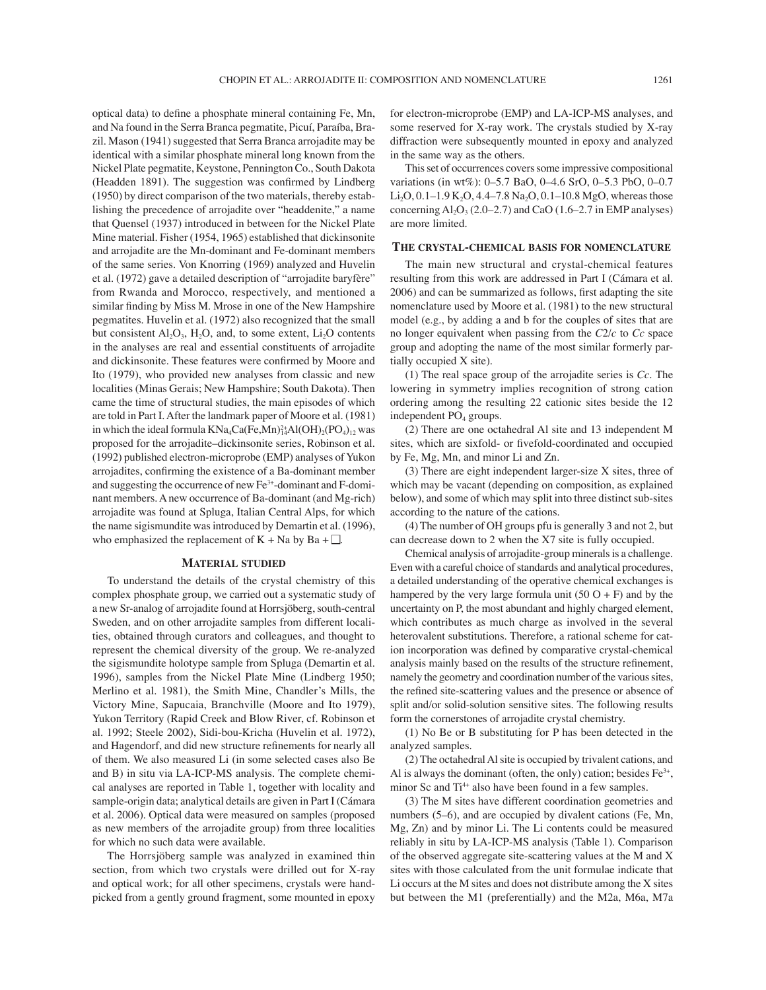optical data) to define a phosphate mineral containing Fe, Mn, and Na found in the Serra Branca pegmatite, Picuí, Paraíba, Brazil. Mason (1941) suggested that Serra Branca arrojadite may be identical with a similar phosphate mineral long known from the Nickel Plate pegmatite, Keystone, Pennington Co., South Dakota (Headden 1891). The suggestion was confirmed by Lindberg (1950) by direct comparison of the two materials, thereby establishing the precedence of arrojadite over "headdenite," a name that Quensel (1937) introduced in between for the Nickel Plate Mine material. Fisher (1954, 1965) established that dickinsonite and arrojadite are the Mn-dominant and Fe-dominant members of the same series. Von Knorring (1969) analyzed and Huvelin et al. (1972) gave a detailed description of "arrojadite baryfère" from Rwanda and Morocco, respectively, and mentioned a similar finding by Miss M. Mrose in one of the New Hampshire pegmatites. Huvelin et al. (1972) also recognized that the small but consistent  $Al_2O_3$ ,  $H_2O$ , and, to some extent,  $Li_2O$  contents in the analyses are real and essential constituents of arrojadite and dickinsonite. These features were confirmed by Moore and Ito (1979), who provided new analyses from classic and new localities (Minas Gerais; New Hampshire; South Dakota). Then came the time of structural studies, the main episodes of which are told in Part I. After the landmark paper of Moore et al. (1981) in which the ideal formula  $KNa_4Ca(Fe, Mn)<sup>2</sup><sub>14</sub>Al(OH)<sub>2</sub>(PO<sub>4</sub>)<sub>12</sub> was$ proposed for the arrojadite–dickinsonite series, Robinson et al. (1992) published electron-microprobe (EMP) analyses of Yukon arrojadites, confirming the existence of a Ba-dominant member and suggesting the occurrence of new Fe3+-dominant and F-dominant members. A new occurrence of Ba-dominant (and Mg-rich) arrojadite was found at Spluga, Italian Central Alps, for which the name sigismundite was introduced by Demartin et al. (1996), who emphasized the replacement of  $K + Na$  by  $Ba + \Box$ .

#### **MATERIAL STUDIED**

To understand the details of the crystal chemistry of this complex phosphate group, we carried out a systematic study of a new Sr-analog of arrojadite found at Horrsjöberg, south-central Sweden, and on other arrojadite samples from different localities, obtained through curators and colleagues, and thought to represent the chemical diversity of the group. We re-analyzed the sigismundite holotype sample from Spluga (Demartin et al. 1996), samples from the Nickel Plate Mine (Lindberg 1950; Merlino et al. 1981), the Smith Mine, Chandler's Mills, the Victory Mine, Sapucaia, Branchville (Moore and Ito 1979), Yukon Territory (Rapid Creek and Blow River, cf. Robinson et al. 1992; Steele 2002), Sidi-bou-Kricha (Huvelin et al. 1972), and Hagendorf, and did new structure refinements for nearly all of them. We also measured Li (in some selected cases also Be and B) in situ via LA-ICP-MS analysis. The complete chemical analyses are reported in Table 1, together with locality and sample-origin data; analytical details are given in Part I (Cámara et al. 2006). Optical data were measured on samples (proposed as new members of the arrojadite group) from three localities for which no such data were available.

The Horrsjöberg sample was analyzed in examined thin section, from which two crystals were drilled out for X-ray and optical work; for all other specimens, crystals were handpicked from a gently ground fragment, some mounted in epoxy for electron-microprobe (EMP) and LA-ICP-MS analyses, and some reserved for X-ray work. The crystals studied by X-ray diffraction were subsequently mounted in epoxy and analyzed in the same way as the others.

This set of occurrences covers some impressive compositional variations (in wt%): 0-5.7 BaO, 0-4.6 SrO, 0-5.3 PbO, 0-0.7 Li<sub>2</sub>O, 0.1–1.9 K<sub>2</sub>O, 4.4–7.8 Na<sub>2</sub>O, 0.1–10.8 MgO, whereas those concerning  $Al_2O_3$  (2.0–2.7) and CaO (1.6–2.7 in EMP analyses) are more limited.

## **THE CRYSTAL-CHEMICAL BASIS FOR NOMENCLATURE**

The main new structural and crystal-chemical features resulting from this work are addressed in Part I (Cámara et al. 2006) and can be summarized as follows, first adapting the site nomenclature used by Moore et al. (1981) to the new structural model (e.g., by adding a and b for the couples of sites that are no longer equivalent when passing from the *C*2/*c* to *Cc* space group and adopting the name of the most similar formerly partially occupied X site).

(1) The real space group of the arrojadite series is *Cc.* The lowering in symmetry implies recognition of strong cation ordering among the resulting 22 cationic sites beside the 12 independent  $PO<sub>4</sub>$  groups.

(2) There are one octahedral Al site and 13 independent M sites, which are sixfold- or fivefold-coordinated and occupied by Fe, Mg, Mn, and minor Li and Zn.

(3) There are eight independent larger-size X sites, three of which may be vacant (depending on composition, as explained below), and some of which may split into three distinct sub-sites according to the nature of the cations.

(4) The number of OH groups pfu is generally 3 and not 2, but can decrease down to 2 when the X7 site is fully occupied.

Chemical analysis of arrojadite-group minerals is a challenge. Even with a careful choice of standards and analytical procedures, a detailed understanding of the operative chemical exchanges is hampered by the very large formula unit  $(50 O + F)$  and by the uncertainty on P, the most abundant and highly charged element, which contributes as much charge as involved in the several heterovalent substitutions. Therefore, a rational scheme for cation incorporation was defined by comparative crystal-chemical analysis mainly based on the results of the structure refinement, namely the geometry and coordination number of the various sites, the refined site-scattering values and the presence or absence of split and/or solid-solution sensitive sites. The following results form the cornerstones of arrojadite crystal chemistry.

(1) No Be or B substituting for P has been detected in the analyzed samples.

(2) The octahedral Al site is occupied by trivalent cations, and Al is always the dominant (often, the only) cation; besides  $Fe<sup>3+</sup>$ , minor Sc and Ti<sup>4+</sup> also have been found in a few samples.

(3) The M sites have different coordination geometries and numbers  $(5–6)$ , and are occupied by divalent cations (Fe, Mn, Mg, Zn) and by minor Li. The Li contents could be measured reliably in situ by LA-ICP-MS analysis (Table 1). Comparison of the observed aggregate site-scattering values at the M and X sites with those calculated from the unit formulae indicate that Li occurs at the M sites and does not distribute among the X sites but between the M1 (preferentially) and the M2a, M6a, M7a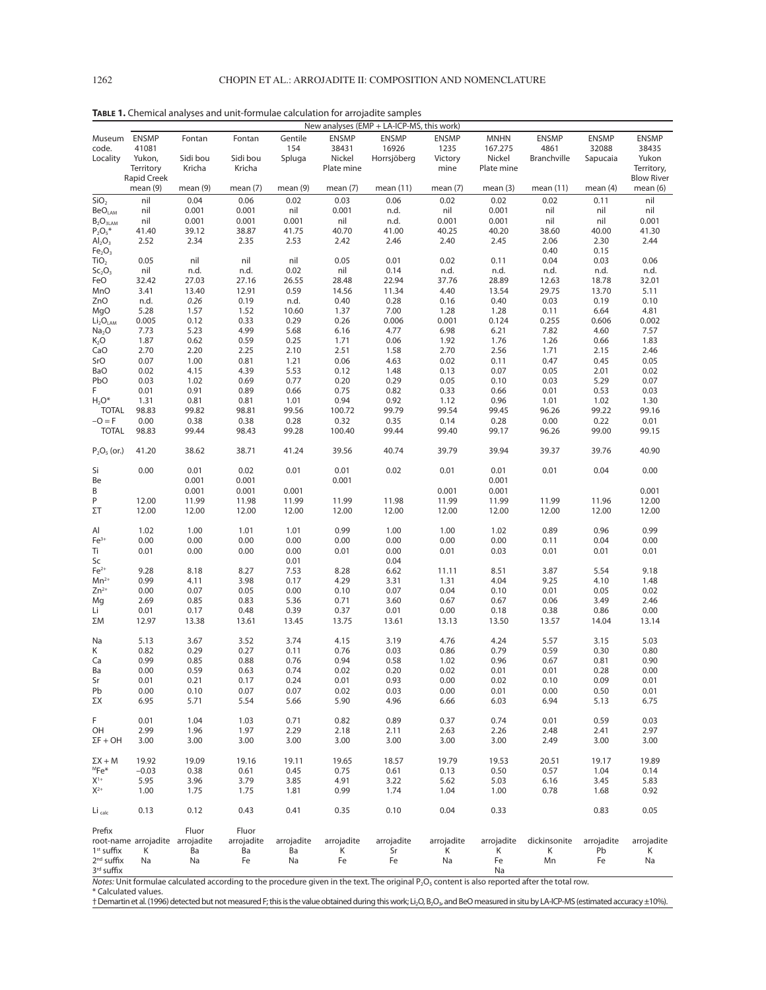| ENSMP<br>Fontan<br>Fontan<br>Gentile<br><b>ENSMP</b><br><b>ENSMP</b><br><b>ENSMP</b><br><b>MNHN</b><br><b>ENSMP</b><br><b>ENSMP</b><br><b>ENSMP</b><br>Museum<br>41081<br>154<br>38431<br>16926<br>1235<br>4861<br>32088<br>38435<br>code.<br>167.275<br>Yukon<br>Sidi bou<br>Spluga<br>Nickel<br>Horrsjöberg<br>Nickel<br>Branchville<br>Locality<br>Yukon,<br>Sidi bou<br>Victory<br>Sapucaia<br>Territory,<br>Territory<br>Kricha<br>Kricha<br>Plate mine<br>mine<br>Plate mine<br>Rapid Creek<br><b>Blow River</b><br>mean(9)<br>mean(9)<br>mean $(7)$<br>mean(9)<br>mean $(7)$<br>mean (11)<br>mean $(7)$<br>mean(3)<br>mean (11)<br>mean $(4)$<br>mean $(6)$<br>SiO <sub>2</sub><br>0.04<br>0.02<br>0.03<br>nil<br>0.06<br>0.06<br>0.02<br>0.02<br>0.02<br>nil<br>0.11<br>BeO <sub>LM</sub><br>0.001<br>0.001<br>nil<br>0.001<br>nil<br>0.001<br>nil<br>nil<br>n.d.<br>nil<br>nil<br>$B_2O_{3LAM}$<br>nil<br>0.001<br>0.001<br>0.001<br>0.001<br>0.001<br>nil<br>nil<br>0.001<br>nil<br>n.d.<br>$P_2O_5*$<br>41.40<br>38.87<br>40.70<br>41.00<br>40.25<br>40.20<br>40.00<br>41.30<br>39.12<br>41.75<br>38.60<br>$\mathsf{Al}_2\mathsf{O}_3$<br>2.52<br>2.35<br>2.30<br>2.44<br>2.34<br>2.53<br>2.42<br>2.46<br>2.40<br>2.45<br>2.06<br>Fe <sub>2</sub> O <sub>3</sub><br>0.40<br>0.15<br>TiO <sub>2</sub><br>0.05<br>nil<br>nil<br>0.05<br>0.01<br>0.02<br>0.04<br>0.03<br>0.06<br>nil<br>0.11<br>0.02<br>Sc <sub>2</sub> O <sub>3</sub><br>nil<br>n.d.<br>n.d.<br>nil<br>0.14<br>n.d.<br>n.d.<br>n.d.<br>n.d.<br>n.d.<br>FeO<br>32.42<br>27.03<br>27.16<br>26.55<br>28.48<br>22.94<br>37.76<br>28.89<br>18.78<br>32.01<br>12.63<br>3.41<br>0.59<br>14.56<br>4.40<br>29.75<br>5.11<br>MnO<br>13.40<br>12.91<br>11.34<br>13.54<br>13.70<br>0.19<br>0.03<br>0.10<br>ZnO<br>n.d.<br>0.26<br>n.d.<br>0.40<br>0.28<br>0.16<br>0.40<br>0.19<br>MgO<br>5.28<br>7.00<br>4.81<br>1.57<br>1.52<br>10.60<br>1.37<br>1.28<br>1.28<br>0.11<br>6.64<br>0.005<br>0.33<br>0.29<br>0.26<br>0.006<br>0.001<br>0.124<br>0.606<br>Li <sub>2</sub> O <sub>LM</sub><br>0.12<br>0.255<br>0.002<br>4.99<br>7.73<br>5.23<br>5.68<br>6.98<br>7.82<br>7.57<br>Na <sub>2</sub> O<br>6.16<br>4.77<br>6.21<br>4.60<br>$K_2O$<br>1.87<br>0.62<br>0.59<br>0.25<br>0.06<br>1.92<br>1.26<br>1.83<br>1.71<br>1.76<br>0.66<br>CaO<br>2.70<br>2.20<br>2.25<br>2.10<br>2.51<br>1.58<br>2.70<br>2.56<br>2.46<br>1.71<br>2.15<br>SrO<br>0.07<br>1.00<br>0.81<br>1.21<br>0.06<br>4.63<br>0.02<br>0.11<br>0.47<br>0.45<br>0.05<br><b>BaO</b><br>0.02<br>4.15<br>4.39<br>5.53<br>1.48<br>0.13<br>0.07<br>0.05<br>2.01<br>0.02<br>0.12<br>PbO<br>0.03<br>0.69<br>0.77<br>0.20<br>0.29<br>0.05<br>0.03<br>5.29<br>0.07<br>1.02<br>0.10<br>F<br>0.01<br>0.91<br>0.89<br>0.66<br>0.75<br>0.82<br>0.33<br>0.01<br>0.53<br>0.03<br>0.66<br>$H2O*$<br>1.31<br>0.81<br>0.81<br>1.01<br>0.94<br>0.92<br>0.96<br>1.30<br>1.12<br>1.01<br>1.02<br><b>TOTAL</b><br>98.83<br>99.82<br>98.81<br>99.56<br>100.72<br>99.79<br>99.54<br>99.45<br>96.26<br>99.22<br>99.16<br>$-O = F$<br>0.00<br>0.38<br>0.38<br>0.28<br>0.32<br>0.35<br>0.14<br>0.28<br>0.00<br>0.22<br>0.01<br><b>TOTAL</b><br>98.83<br>99.44<br>99.28<br>100.40<br>99.44<br>99.40<br>99.17<br>96.26<br>99.00<br>99.15<br>98.43<br>40.90<br>$P_2O_5$ (or.)<br>41.20<br>38.62<br>38.71<br>41.24<br>39.56<br>40.74<br>39.79<br>39.94<br>39.37<br>39.76<br>0.00<br>Si<br>0.01<br>0.02<br>0.01<br>0.01<br>0.02<br>0.01<br>0.01<br>0.01<br>0.04<br>0.00<br>Be<br>0.001<br>0.001<br>0.001<br>0.001<br>Β<br>0.001<br>0.001<br>0.001<br>0.001<br>0.001<br>0.001<br>P<br>12.00<br>11.99<br>11.98<br>11.96<br>12.00<br>11.98<br>11.99<br>11.99<br>11.99<br>11.99<br>11.99<br>ΣΤ<br>12.00<br>12.00<br>12.00<br>12.00<br>12.00<br>12.00<br>12.00<br>12.00<br>12.00<br>12.00<br>12.00<br>0.99<br>Al<br>1.02<br>1.00<br>1.01<br>0.99<br>1.00<br>1.02<br>0.89<br>0.96<br>1.01<br>1.00<br>$Fe3+$<br>0.00<br>0.00<br>0.00<br>0.00<br>0.00<br>0.00<br>0.00<br>0.00<br>0.00<br>0.11<br>0.04<br>Ti<br>0.01<br>0.00<br>0.00<br>0.00<br>0.01<br>0.00<br>0.01<br>0.03<br>0.01<br>0.01<br>0.01<br>Sc<br>0.01<br>0.04<br>$Fe2+$<br>9.28<br>7.53<br>9.18<br>8.18<br>8.27<br>8.28<br>6.62<br>11.11<br>8.51<br>3.87<br>5.54<br>$Mn^{2+}$<br>0.99<br>3.98<br>0.17<br>4.29<br>3.31<br>9.25<br>1.48<br>4.11<br>1.31<br>4.04<br>4.10<br>$Zn^{2+}$<br>0.00<br>0.07<br>0.05<br>0.00<br>0.07<br>0.04<br>0.01<br>0.05<br>0.02<br>0.10<br>0.10<br>2.69<br>0.85<br>0.83<br>5.36<br>3.60<br>0.06<br>3.49<br>2.46<br>Mg<br>0.71<br>0.67<br>0.67<br>Li<br>0.01<br>0.17<br>0.48<br>0.39<br>0.01<br>0.86<br>0.00<br>0.37<br>0.00<br>0.18<br>0.38<br>ΣΜ<br>12.97<br>13.61<br>13.14<br>13.38<br>13.45<br>13.75<br>13.61<br>13.13<br>13.50<br>13.57<br>14.04<br>3.52<br>3.74<br>3.19<br>4.76<br>5.57<br>5.03<br>Na<br>5.13<br>3.67<br>4.15<br>4.24<br>3.15<br>Κ<br>0.82<br>0.29<br>0.27<br>0.76<br>0.03<br>0.79<br>0.59<br>0.30<br>0.80<br>0.11<br>0.86<br>0.90<br>Ca<br>0.99<br>0.85<br>0.88<br>0.76<br>0.94<br>0.58<br>1.02<br>0.96<br>0.67<br>0.81<br>0.00<br>0.59<br>0.74<br>0.20<br>0.02<br>0.28<br>0.00<br>Ba<br>0.63<br>0.02<br>0.01<br>0.01<br>Sr<br>0.93<br>0.09<br>0.01<br>0.21<br>0.17<br>0.24<br>0.01<br>0.00<br>0.02<br>0.10<br>0.01<br>Pb<br>0.02<br>0.01<br>0.01<br>0.00<br>0.10<br>0.07<br>0.07<br>0.03<br>0.00<br>0.00<br>0.50<br>ΣΧ<br>6.95<br>5.71<br>5.54<br>5.66<br>5.90<br>4.96<br>6.03<br>6.94<br>5.13<br>6.75<br>6.66<br>F<br>0.01<br>0.03<br>1.04<br>0.71<br>0.82<br>0.89<br>0.37<br>0.74<br>0.01<br>0.59<br>1.03<br>OH<br>2.99<br>1.96<br>1.97<br>2.29<br>2.18<br>2.11<br>2.63<br>2.26<br>2.48<br>2.41<br>2.97<br>$\Sigma$ F + OH<br>3.00<br>3.00<br>3.00<br>3.00<br>3.00<br>3.00<br>3.00<br>3.00<br>3.00<br>3.00<br>2.49<br>$\Sigma X + M$<br>19.92<br>19.09<br>19.16<br>19.79<br>19.53<br>19.89<br>19.11<br>19.65<br>18.57<br>20.51<br>19.17<br><sup>M</sup> Fe <sup>*</sup><br>$-0.03$<br>0.38<br>0.61<br>0.45<br>0.75<br>0.61<br>0.50<br>0.57<br>1.04<br>0.14<br>0.13<br>$X^{1+}$<br>5.95<br>3.96<br>3.79<br>3.85<br>4.91<br>3.22<br>5.62<br>5.03<br>6.16<br>3.45<br>5.83<br>$X^{2+}$<br>1.00<br>1.75<br>1.75<br>1.81<br>0.99<br>1.74<br>1.00<br>0.78<br>0.92<br>1.04<br>1.68<br>0.13<br>0.12<br>0.43<br>0.41<br>0.35<br>0.10<br>0.04<br>0.33<br>0.83<br>0.05<br>$\mathsf{Li}\xspace_{\mathsf{calc}\xspace}$<br>Fluor<br>Fluor<br>Prefix<br>root-name arrojadite arrojadite<br>arrojadite<br>arrojadite<br>arrojadite<br>arrojadite<br>dickinsonite<br>arrojadite<br>arrojadite<br>arrojadite<br>arrojadite<br>$1st$ suffix<br>Κ<br>Ba<br>Ba<br>Ba<br>Κ<br>Sr<br>Κ<br>Κ<br>Κ<br>Pb<br>К<br>$2nd$ suffix<br>Na<br>Fe<br>Na<br>Fe<br>Fe<br>Na<br>Fe<br>Mn<br>Na<br>Na<br>Fe |                        |  |  | New analyses (EMP + LA-ICP-MS, this work) |    |  |  |
|----------------------------------------------------------------------------------------------------------------------------------------------------------------------------------------------------------------------------------------------------------------------------------------------------------------------------------------------------------------------------------------------------------------------------------------------------------------------------------------------------------------------------------------------------------------------------------------------------------------------------------------------------------------------------------------------------------------------------------------------------------------------------------------------------------------------------------------------------------------------------------------------------------------------------------------------------------------------------------------------------------------------------------------------------------------------------------------------------------------------------------------------------------------------------------------------------------------------------------------------------------------------------------------------------------------------------------------------------------------------------------------------------------------------------------------------------------------------------------------------------------------------------------------------------------------------------------------------------------------------------------------------------------------------------------------------------------------------------------------------------------------------------------------------------------------------------------------------------------------------------------------------------------------------------------------------------------------------------------------------------------------------------------------------------------------------------------------------------------------------------------------------------------------------------------------------------------------------------------------------------------------------------------------------------------------------------------------------------------------------------------------------------------------------------------------------------------------------------------------------------------------------------------------------------------------------------------------------------------------------------------------------------------------------------------------------------------------------------------------------------------------------------------------------------------------------------------------------------------------------------------------------------------------------------------------------------------------------------------------------------------------------------------------------------------------------------------------------------------------------------------------------------------------------------------------------------------------------------------------------------------------------------------------------------------------------------------------------------------------------------------------------------------------------------------------------------------------------------------------------------------------------------------------------------------------------------------------------------------------------------------------------------------------------------------------------------------------------------------------------------------------------------------------------------------------------------------------------------------------------------------------------------------------------------------------------------------------------------------------------------------------------------------------------------------------------------------------------------------------------------------------------------------------------------------------------------------------------------------------------------------------------------------------------------------------------------------------------------------------------------------------------------------------------------------------------------------------------------------------------------------------------------------------------------------------------------------------------------------------------------------------------------------------------------------------------------------------------------------------------------------------------------------------------------------------------------------------------------------------------------------------------------------------------------------------------------------------------------------------------------------------------------------------------------------------------------------------------------------------------------------------------------------------------------------------------------------------------------------------------------------------------------------------------------------------------------------------------------------------------------------------------------------------------------------------------------------------------------------------------------------------------------------------------------------------------------------------------------------------------------------------------------------------------------------------------------------------------------------------------------------------------------------------------------------------------------------------------------------------------------------------------------------------------------------------------------------------------------------------------------------------------------------------------------------------------------------------------------------------------------------------------------------------------------------------------------------------------------------------------------------------------------------------------------------------------------------------------------------------------------------------------------------------------------------------------------------------------------------------------------------------------------------------------------------------------------------------------------------------------------------------------------------------------|------------------------|--|--|-------------------------------------------|----|--|--|
|                                                                                                                                                                                                                                                                                                                                                                                                                                                                                                                                                                                                                                                                                                                                                                                                                                                                                                                                                                                                                                                                                                                                                                                                                                                                                                                                                                                                                                                                                                                                                                                                                                                                                                                                                                                                                                                                                                                                                                                                                                                                                                                                                                                                                                                                                                                                                                                                                                                                                                                                                                                                                                                                                                                                                                                                                                                                                                                                                                                                                                                                                                                                                                                                                                                                                                                                                                                                                                                                                                                                                                                                                                                                                                                                                                                                                                                                                                                                                                                                                                                                                                                                                                                                                                                                                                                                                                                                                                                                                                                                                                                                                                                                                                                                                                                                                                                                                                                                                                                                                                                                                                                                                                                                                                                                                                                                                                                                                                                                                                                                                                                                                                                                                                                                                                                                                                                                                                                                                                                                                                                                                                                                                                                                                                                                                                                                                                                                                                                                                                                                                                                                                                                                      |                        |  |  |                                           |    |  |  |
|                                                                                                                                                                                                                                                                                                                                                                                                                                                                                                                                                                                                                                                                                                                                                                                                                                                                                                                                                                                                                                                                                                                                                                                                                                                                                                                                                                                                                                                                                                                                                                                                                                                                                                                                                                                                                                                                                                                                                                                                                                                                                                                                                                                                                                                                                                                                                                                                                                                                                                                                                                                                                                                                                                                                                                                                                                                                                                                                                                                                                                                                                                                                                                                                                                                                                                                                                                                                                                                                                                                                                                                                                                                                                                                                                                                                                                                                                                                                                                                                                                                                                                                                                                                                                                                                                                                                                                                                                                                                                                                                                                                                                                                                                                                                                                                                                                                                                                                                                                                                                                                                                                                                                                                                                                                                                                                                                                                                                                                                                                                                                                                                                                                                                                                                                                                                                                                                                                                                                                                                                                                                                                                                                                                                                                                                                                                                                                                                                                                                                                                                                                                                                                                                      |                        |  |  |                                           |    |  |  |
|                                                                                                                                                                                                                                                                                                                                                                                                                                                                                                                                                                                                                                                                                                                                                                                                                                                                                                                                                                                                                                                                                                                                                                                                                                                                                                                                                                                                                                                                                                                                                                                                                                                                                                                                                                                                                                                                                                                                                                                                                                                                                                                                                                                                                                                                                                                                                                                                                                                                                                                                                                                                                                                                                                                                                                                                                                                                                                                                                                                                                                                                                                                                                                                                                                                                                                                                                                                                                                                                                                                                                                                                                                                                                                                                                                                                                                                                                                                                                                                                                                                                                                                                                                                                                                                                                                                                                                                                                                                                                                                                                                                                                                                                                                                                                                                                                                                                                                                                                                                                                                                                                                                                                                                                                                                                                                                                                                                                                                                                                                                                                                                                                                                                                                                                                                                                                                                                                                                                                                                                                                                                                                                                                                                                                                                                                                                                                                                                                                                                                                                                                                                                                                                                      |                        |  |  |                                           |    |  |  |
|                                                                                                                                                                                                                                                                                                                                                                                                                                                                                                                                                                                                                                                                                                                                                                                                                                                                                                                                                                                                                                                                                                                                                                                                                                                                                                                                                                                                                                                                                                                                                                                                                                                                                                                                                                                                                                                                                                                                                                                                                                                                                                                                                                                                                                                                                                                                                                                                                                                                                                                                                                                                                                                                                                                                                                                                                                                                                                                                                                                                                                                                                                                                                                                                                                                                                                                                                                                                                                                                                                                                                                                                                                                                                                                                                                                                                                                                                                                                                                                                                                                                                                                                                                                                                                                                                                                                                                                                                                                                                                                                                                                                                                                                                                                                                                                                                                                                                                                                                                                                                                                                                                                                                                                                                                                                                                                                                                                                                                                                                                                                                                                                                                                                                                                                                                                                                                                                                                                                                                                                                                                                                                                                                                                                                                                                                                                                                                                                                                                                                                                                                                                                                                                                      |                        |  |  |                                           |    |  |  |
|                                                                                                                                                                                                                                                                                                                                                                                                                                                                                                                                                                                                                                                                                                                                                                                                                                                                                                                                                                                                                                                                                                                                                                                                                                                                                                                                                                                                                                                                                                                                                                                                                                                                                                                                                                                                                                                                                                                                                                                                                                                                                                                                                                                                                                                                                                                                                                                                                                                                                                                                                                                                                                                                                                                                                                                                                                                                                                                                                                                                                                                                                                                                                                                                                                                                                                                                                                                                                                                                                                                                                                                                                                                                                                                                                                                                                                                                                                                                                                                                                                                                                                                                                                                                                                                                                                                                                                                                                                                                                                                                                                                                                                                                                                                                                                                                                                                                                                                                                                                                                                                                                                                                                                                                                                                                                                                                                                                                                                                                                                                                                                                                                                                                                                                                                                                                                                                                                                                                                                                                                                                                                                                                                                                                                                                                                                                                                                                                                                                                                                                                                                                                                                                                      |                        |  |  |                                           |    |  |  |
|                                                                                                                                                                                                                                                                                                                                                                                                                                                                                                                                                                                                                                                                                                                                                                                                                                                                                                                                                                                                                                                                                                                                                                                                                                                                                                                                                                                                                                                                                                                                                                                                                                                                                                                                                                                                                                                                                                                                                                                                                                                                                                                                                                                                                                                                                                                                                                                                                                                                                                                                                                                                                                                                                                                                                                                                                                                                                                                                                                                                                                                                                                                                                                                                                                                                                                                                                                                                                                                                                                                                                                                                                                                                                                                                                                                                                                                                                                                                                                                                                                                                                                                                                                                                                                                                                                                                                                                                                                                                                                                                                                                                                                                                                                                                                                                                                                                                                                                                                                                                                                                                                                                                                                                                                                                                                                                                                                                                                                                                                                                                                                                                                                                                                                                                                                                                                                                                                                                                                                                                                                                                                                                                                                                                                                                                                                                                                                                                                                                                                                                                                                                                                                                                      |                        |  |  |                                           |    |  |  |
|                                                                                                                                                                                                                                                                                                                                                                                                                                                                                                                                                                                                                                                                                                                                                                                                                                                                                                                                                                                                                                                                                                                                                                                                                                                                                                                                                                                                                                                                                                                                                                                                                                                                                                                                                                                                                                                                                                                                                                                                                                                                                                                                                                                                                                                                                                                                                                                                                                                                                                                                                                                                                                                                                                                                                                                                                                                                                                                                                                                                                                                                                                                                                                                                                                                                                                                                                                                                                                                                                                                                                                                                                                                                                                                                                                                                                                                                                                                                                                                                                                                                                                                                                                                                                                                                                                                                                                                                                                                                                                                                                                                                                                                                                                                                                                                                                                                                                                                                                                                                                                                                                                                                                                                                                                                                                                                                                                                                                                                                                                                                                                                                                                                                                                                                                                                                                                                                                                                                                                                                                                                                                                                                                                                                                                                                                                                                                                                                                                                                                                                                                                                                                                                                      |                        |  |  |                                           |    |  |  |
|                                                                                                                                                                                                                                                                                                                                                                                                                                                                                                                                                                                                                                                                                                                                                                                                                                                                                                                                                                                                                                                                                                                                                                                                                                                                                                                                                                                                                                                                                                                                                                                                                                                                                                                                                                                                                                                                                                                                                                                                                                                                                                                                                                                                                                                                                                                                                                                                                                                                                                                                                                                                                                                                                                                                                                                                                                                                                                                                                                                                                                                                                                                                                                                                                                                                                                                                                                                                                                                                                                                                                                                                                                                                                                                                                                                                                                                                                                                                                                                                                                                                                                                                                                                                                                                                                                                                                                                                                                                                                                                                                                                                                                                                                                                                                                                                                                                                                                                                                                                                                                                                                                                                                                                                                                                                                                                                                                                                                                                                                                                                                                                                                                                                                                                                                                                                                                                                                                                                                                                                                                                                                                                                                                                                                                                                                                                                                                                                                                                                                                                                                                                                                                                                      |                        |  |  |                                           |    |  |  |
|                                                                                                                                                                                                                                                                                                                                                                                                                                                                                                                                                                                                                                                                                                                                                                                                                                                                                                                                                                                                                                                                                                                                                                                                                                                                                                                                                                                                                                                                                                                                                                                                                                                                                                                                                                                                                                                                                                                                                                                                                                                                                                                                                                                                                                                                                                                                                                                                                                                                                                                                                                                                                                                                                                                                                                                                                                                                                                                                                                                                                                                                                                                                                                                                                                                                                                                                                                                                                                                                                                                                                                                                                                                                                                                                                                                                                                                                                                                                                                                                                                                                                                                                                                                                                                                                                                                                                                                                                                                                                                                                                                                                                                                                                                                                                                                                                                                                                                                                                                                                                                                                                                                                                                                                                                                                                                                                                                                                                                                                                                                                                                                                                                                                                                                                                                                                                                                                                                                                                                                                                                                                                                                                                                                                                                                                                                                                                                                                                                                                                                                                                                                                                                                                      |                        |  |  |                                           |    |  |  |
|                                                                                                                                                                                                                                                                                                                                                                                                                                                                                                                                                                                                                                                                                                                                                                                                                                                                                                                                                                                                                                                                                                                                                                                                                                                                                                                                                                                                                                                                                                                                                                                                                                                                                                                                                                                                                                                                                                                                                                                                                                                                                                                                                                                                                                                                                                                                                                                                                                                                                                                                                                                                                                                                                                                                                                                                                                                                                                                                                                                                                                                                                                                                                                                                                                                                                                                                                                                                                                                                                                                                                                                                                                                                                                                                                                                                                                                                                                                                                                                                                                                                                                                                                                                                                                                                                                                                                                                                                                                                                                                                                                                                                                                                                                                                                                                                                                                                                                                                                                                                                                                                                                                                                                                                                                                                                                                                                                                                                                                                                                                                                                                                                                                                                                                                                                                                                                                                                                                                                                                                                                                                                                                                                                                                                                                                                                                                                                                                                                                                                                                                                                                                                                                                      |                        |  |  |                                           |    |  |  |
|                                                                                                                                                                                                                                                                                                                                                                                                                                                                                                                                                                                                                                                                                                                                                                                                                                                                                                                                                                                                                                                                                                                                                                                                                                                                                                                                                                                                                                                                                                                                                                                                                                                                                                                                                                                                                                                                                                                                                                                                                                                                                                                                                                                                                                                                                                                                                                                                                                                                                                                                                                                                                                                                                                                                                                                                                                                                                                                                                                                                                                                                                                                                                                                                                                                                                                                                                                                                                                                                                                                                                                                                                                                                                                                                                                                                                                                                                                                                                                                                                                                                                                                                                                                                                                                                                                                                                                                                                                                                                                                                                                                                                                                                                                                                                                                                                                                                                                                                                                                                                                                                                                                                                                                                                                                                                                                                                                                                                                                                                                                                                                                                                                                                                                                                                                                                                                                                                                                                                                                                                                                                                                                                                                                                                                                                                                                                                                                                                                                                                                                                                                                                                                                                      |                        |  |  |                                           |    |  |  |
|                                                                                                                                                                                                                                                                                                                                                                                                                                                                                                                                                                                                                                                                                                                                                                                                                                                                                                                                                                                                                                                                                                                                                                                                                                                                                                                                                                                                                                                                                                                                                                                                                                                                                                                                                                                                                                                                                                                                                                                                                                                                                                                                                                                                                                                                                                                                                                                                                                                                                                                                                                                                                                                                                                                                                                                                                                                                                                                                                                                                                                                                                                                                                                                                                                                                                                                                                                                                                                                                                                                                                                                                                                                                                                                                                                                                                                                                                                                                                                                                                                                                                                                                                                                                                                                                                                                                                                                                                                                                                                                                                                                                                                                                                                                                                                                                                                                                                                                                                                                                                                                                                                                                                                                                                                                                                                                                                                                                                                                                                                                                                                                                                                                                                                                                                                                                                                                                                                                                                                                                                                                                                                                                                                                                                                                                                                                                                                                                                                                                                                                                                                                                                                                                      |                        |  |  |                                           |    |  |  |
|                                                                                                                                                                                                                                                                                                                                                                                                                                                                                                                                                                                                                                                                                                                                                                                                                                                                                                                                                                                                                                                                                                                                                                                                                                                                                                                                                                                                                                                                                                                                                                                                                                                                                                                                                                                                                                                                                                                                                                                                                                                                                                                                                                                                                                                                                                                                                                                                                                                                                                                                                                                                                                                                                                                                                                                                                                                                                                                                                                                                                                                                                                                                                                                                                                                                                                                                                                                                                                                                                                                                                                                                                                                                                                                                                                                                                                                                                                                                                                                                                                                                                                                                                                                                                                                                                                                                                                                                                                                                                                                                                                                                                                                                                                                                                                                                                                                                                                                                                                                                                                                                                                                                                                                                                                                                                                                                                                                                                                                                                                                                                                                                                                                                                                                                                                                                                                                                                                                                                                                                                                                                                                                                                                                                                                                                                                                                                                                                                                                                                                                                                                                                                                                                      |                        |  |  |                                           |    |  |  |
|                                                                                                                                                                                                                                                                                                                                                                                                                                                                                                                                                                                                                                                                                                                                                                                                                                                                                                                                                                                                                                                                                                                                                                                                                                                                                                                                                                                                                                                                                                                                                                                                                                                                                                                                                                                                                                                                                                                                                                                                                                                                                                                                                                                                                                                                                                                                                                                                                                                                                                                                                                                                                                                                                                                                                                                                                                                                                                                                                                                                                                                                                                                                                                                                                                                                                                                                                                                                                                                                                                                                                                                                                                                                                                                                                                                                                                                                                                                                                                                                                                                                                                                                                                                                                                                                                                                                                                                                                                                                                                                                                                                                                                                                                                                                                                                                                                                                                                                                                                                                                                                                                                                                                                                                                                                                                                                                                                                                                                                                                                                                                                                                                                                                                                                                                                                                                                                                                                                                                                                                                                                                                                                                                                                                                                                                                                                                                                                                                                                                                                                                                                                                                                                                      |                        |  |  |                                           |    |  |  |
|                                                                                                                                                                                                                                                                                                                                                                                                                                                                                                                                                                                                                                                                                                                                                                                                                                                                                                                                                                                                                                                                                                                                                                                                                                                                                                                                                                                                                                                                                                                                                                                                                                                                                                                                                                                                                                                                                                                                                                                                                                                                                                                                                                                                                                                                                                                                                                                                                                                                                                                                                                                                                                                                                                                                                                                                                                                                                                                                                                                                                                                                                                                                                                                                                                                                                                                                                                                                                                                                                                                                                                                                                                                                                                                                                                                                                                                                                                                                                                                                                                                                                                                                                                                                                                                                                                                                                                                                                                                                                                                                                                                                                                                                                                                                                                                                                                                                                                                                                                                                                                                                                                                                                                                                                                                                                                                                                                                                                                                                                                                                                                                                                                                                                                                                                                                                                                                                                                                                                                                                                                                                                                                                                                                                                                                                                                                                                                                                                                                                                                                                                                                                                                                                      |                        |  |  |                                           |    |  |  |
|                                                                                                                                                                                                                                                                                                                                                                                                                                                                                                                                                                                                                                                                                                                                                                                                                                                                                                                                                                                                                                                                                                                                                                                                                                                                                                                                                                                                                                                                                                                                                                                                                                                                                                                                                                                                                                                                                                                                                                                                                                                                                                                                                                                                                                                                                                                                                                                                                                                                                                                                                                                                                                                                                                                                                                                                                                                                                                                                                                                                                                                                                                                                                                                                                                                                                                                                                                                                                                                                                                                                                                                                                                                                                                                                                                                                                                                                                                                                                                                                                                                                                                                                                                                                                                                                                                                                                                                                                                                                                                                                                                                                                                                                                                                                                                                                                                                                                                                                                                                                                                                                                                                                                                                                                                                                                                                                                                                                                                                                                                                                                                                                                                                                                                                                                                                                                                                                                                                                                                                                                                                                                                                                                                                                                                                                                                                                                                                                                                                                                                                                                                                                                                                                      |                        |  |  |                                           |    |  |  |
|                                                                                                                                                                                                                                                                                                                                                                                                                                                                                                                                                                                                                                                                                                                                                                                                                                                                                                                                                                                                                                                                                                                                                                                                                                                                                                                                                                                                                                                                                                                                                                                                                                                                                                                                                                                                                                                                                                                                                                                                                                                                                                                                                                                                                                                                                                                                                                                                                                                                                                                                                                                                                                                                                                                                                                                                                                                                                                                                                                                                                                                                                                                                                                                                                                                                                                                                                                                                                                                                                                                                                                                                                                                                                                                                                                                                                                                                                                                                                                                                                                                                                                                                                                                                                                                                                                                                                                                                                                                                                                                                                                                                                                                                                                                                                                                                                                                                                                                                                                                                                                                                                                                                                                                                                                                                                                                                                                                                                                                                                                                                                                                                                                                                                                                                                                                                                                                                                                                                                                                                                                                                                                                                                                                                                                                                                                                                                                                                                                                                                                                                                                                                                                                                      |                        |  |  |                                           |    |  |  |
|                                                                                                                                                                                                                                                                                                                                                                                                                                                                                                                                                                                                                                                                                                                                                                                                                                                                                                                                                                                                                                                                                                                                                                                                                                                                                                                                                                                                                                                                                                                                                                                                                                                                                                                                                                                                                                                                                                                                                                                                                                                                                                                                                                                                                                                                                                                                                                                                                                                                                                                                                                                                                                                                                                                                                                                                                                                                                                                                                                                                                                                                                                                                                                                                                                                                                                                                                                                                                                                                                                                                                                                                                                                                                                                                                                                                                                                                                                                                                                                                                                                                                                                                                                                                                                                                                                                                                                                                                                                                                                                                                                                                                                                                                                                                                                                                                                                                                                                                                                                                                                                                                                                                                                                                                                                                                                                                                                                                                                                                                                                                                                                                                                                                                                                                                                                                                                                                                                                                                                                                                                                                                                                                                                                                                                                                                                                                                                                                                                                                                                                                                                                                                                                                      |                        |  |  |                                           |    |  |  |
|                                                                                                                                                                                                                                                                                                                                                                                                                                                                                                                                                                                                                                                                                                                                                                                                                                                                                                                                                                                                                                                                                                                                                                                                                                                                                                                                                                                                                                                                                                                                                                                                                                                                                                                                                                                                                                                                                                                                                                                                                                                                                                                                                                                                                                                                                                                                                                                                                                                                                                                                                                                                                                                                                                                                                                                                                                                                                                                                                                                                                                                                                                                                                                                                                                                                                                                                                                                                                                                                                                                                                                                                                                                                                                                                                                                                                                                                                                                                                                                                                                                                                                                                                                                                                                                                                                                                                                                                                                                                                                                                                                                                                                                                                                                                                                                                                                                                                                                                                                                                                                                                                                                                                                                                                                                                                                                                                                                                                                                                                                                                                                                                                                                                                                                                                                                                                                                                                                                                                                                                                                                                                                                                                                                                                                                                                                                                                                                                                                                                                                                                                                                                                                                                      |                        |  |  |                                           |    |  |  |
|                                                                                                                                                                                                                                                                                                                                                                                                                                                                                                                                                                                                                                                                                                                                                                                                                                                                                                                                                                                                                                                                                                                                                                                                                                                                                                                                                                                                                                                                                                                                                                                                                                                                                                                                                                                                                                                                                                                                                                                                                                                                                                                                                                                                                                                                                                                                                                                                                                                                                                                                                                                                                                                                                                                                                                                                                                                                                                                                                                                                                                                                                                                                                                                                                                                                                                                                                                                                                                                                                                                                                                                                                                                                                                                                                                                                                                                                                                                                                                                                                                                                                                                                                                                                                                                                                                                                                                                                                                                                                                                                                                                                                                                                                                                                                                                                                                                                                                                                                                                                                                                                                                                                                                                                                                                                                                                                                                                                                                                                                                                                                                                                                                                                                                                                                                                                                                                                                                                                                                                                                                                                                                                                                                                                                                                                                                                                                                                                                                                                                                                                                                                                                                                                      |                        |  |  |                                           |    |  |  |
|                                                                                                                                                                                                                                                                                                                                                                                                                                                                                                                                                                                                                                                                                                                                                                                                                                                                                                                                                                                                                                                                                                                                                                                                                                                                                                                                                                                                                                                                                                                                                                                                                                                                                                                                                                                                                                                                                                                                                                                                                                                                                                                                                                                                                                                                                                                                                                                                                                                                                                                                                                                                                                                                                                                                                                                                                                                                                                                                                                                                                                                                                                                                                                                                                                                                                                                                                                                                                                                                                                                                                                                                                                                                                                                                                                                                                                                                                                                                                                                                                                                                                                                                                                                                                                                                                                                                                                                                                                                                                                                                                                                                                                                                                                                                                                                                                                                                                                                                                                                                                                                                                                                                                                                                                                                                                                                                                                                                                                                                                                                                                                                                                                                                                                                                                                                                                                                                                                                                                                                                                                                                                                                                                                                                                                                                                                                                                                                                                                                                                                                                                                                                                                                                      |                        |  |  |                                           |    |  |  |
|                                                                                                                                                                                                                                                                                                                                                                                                                                                                                                                                                                                                                                                                                                                                                                                                                                                                                                                                                                                                                                                                                                                                                                                                                                                                                                                                                                                                                                                                                                                                                                                                                                                                                                                                                                                                                                                                                                                                                                                                                                                                                                                                                                                                                                                                                                                                                                                                                                                                                                                                                                                                                                                                                                                                                                                                                                                                                                                                                                                                                                                                                                                                                                                                                                                                                                                                                                                                                                                                                                                                                                                                                                                                                                                                                                                                                                                                                                                                                                                                                                                                                                                                                                                                                                                                                                                                                                                                                                                                                                                                                                                                                                                                                                                                                                                                                                                                                                                                                                                                                                                                                                                                                                                                                                                                                                                                                                                                                                                                                                                                                                                                                                                                                                                                                                                                                                                                                                                                                                                                                                                                                                                                                                                                                                                                                                                                                                                                                                                                                                                                                                                                                                                                      |                        |  |  |                                           |    |  |  |
|                                                                                                                                                                                                                                                                                                                                                                                                                                                                                                                                                                                                                                                                                                                                                                                                                                                                                                                                                                                                                                                                                                                                                                                                                                                                                                                                                                                                                                                                                                                                                                                                                                                                                                                                                                                                                                                                                                                                                                                                                                                                                                                                                                                                                                                                                                                                                                                                                                                                                                                                                                                                                                                                                                                                                                                                                                                                                                                                                                                                                                                                                                                                                                                                                                                                                                                                                                                                                                                                                                                                                                                                                                                                                                                                                                                                                                                                                                                                                                                                                                                                                                                                                                                                                                                                                                                                                                                                                                                                                                                                                                                                                                                                                                                                                                                                                                                                                                                                                                                                                                                                                                                                                                                                                                                                                                                                                                                                                                                                                                                                                                                                                                                                                                                                                                                                                                                                                                                                                                                                                                                                                                                                                                                                                                                                                                                                                                                                                                                                                                                                                                                                                                                                      |                        |  |  |                                           |    |  |  |
|                                                                                                                                                                                                                                                                                                                                                                                                                                                                                                                                                                                                                                                                                                                                                                                                                                                                                                                                                                                                                                                                                                                                                                                                                                                                                                                                                                                                                                                                                                                                                                                                                                                                                                                                                                                                                                                                                                                                                                                                                                                                                                                                                                                                                                                                                                                                                                                                                                                                                                                                                                                                                                                                                                                                                                                                                                                                                                                                                                                                                                                                                                                                                                                                                                                                                                                                                                                                                                                                                                                                                                                                                                                                                                                                                                                                                                                                                                                                                                                                                                                                                                                                                                                                                                                                                                                                                                                                                                                                                                                                                                                                                                                                                                                                                                                                                                                                                                                                                                                                                                                                                                                                                                                                                                                                                                                                                                                                                                                                                                                                                                                                                                                                                                                                                                                                                                                                                                                                                                                                                                                                                                                                                                                                                                                                                                                                                                                                                                                                                                                                                                                                                                                                      |                        |  |  |                                           |    |  |  |
|                                                                                                                                                                                                                                                                                                                                                                                                                                                                                                                                                                                                                                                                                                                                                                                                                                                                                                                                                                                                                                                                                                                                                                                                                                                                                                                                                                                                                                                                                                                                                                                                                                                                                                                                                                                                                                                                                                                                                                                                                                                                                                                                                                                                                                                                                                                                                                                                                                                                                                                                                                                                                                                                                                                                                                                                                                                                                                                                                                                                                                                                                                                                                                                                                                                                                                                                                                                                                                                                                                                                                                                                                                                                                                                                                                                                                                                                                                                                                                                                                                                                                                                                                                                                                                                                                                                                                                                                                                                                                                                                                                                                                                                                                                                                                                                                                                                                                                                                                                                                                                                                                                                                                                                                                                                                                                                                                                                                                                                                                                                                                                                                                                                                                                                                                                                                                                                                                                                                                                                                                                                                                                                                                                                                                                                                                                                                                                                                                                                                                                                                                                                                                                                                      |                        |  |  |                                           |    |  |  |
|                                                                                                                                                                                                                                                                                                                                                                                                                                                                                                                                                                                                                                                                                                                                                                                                                                                                                                                                                                                                                                                                                                                                                                                                                                                                                                                                                                                                                                                                                                                                                                                                                                                                                                                                                                                                                                                                                                                                                                                                                                                                                                                                                                                                                                                                                                                                                                                                                                                                                                                                                                                                                                                                                                                                                                                                                                                                                                                                                                                                                                                                                                                                                                                                                                                                                                                                                                                                                                                                                                                                                                                                                                                                                                                                                                                                                                                                                                                                                                                                                                                                                                                                                                                                                                                                                                                                                                                                                                                                                                                                                                                                                                                                                                                                                                                                                                                                                                                                                                                                                                                                                                                                                                                                                                                                                                                                                                                                                                                                                                                                                                                                                                                                                                                                                                                                                                                                                                                                                                                                                                                                                                                                                                                                                                                                                                                                                                                                                                                                                                                                                                                                                                                                      |                        |  |  |                                           |    |  |  |
|                                                                                                                                                                                                                                                                                                                                                                                                                                                                                                                                                                                                                                                                                                                                                                                                                                                                                                                                                                                                                                                                                                                                                                                                                                                                                                                                                                                                                                                                                                                                                                                                                                                                                                                                                                                                                                                                                                                                                                                                                                                                                                                                                                                                                                                                                                                                                                                                                                                                                                                                                                                                                                                                                                                                                                                                                                                                                                                                                                                                                                                                                                                                                                                                                                                                                                                                                                                                                                                                                                                                                                                                                                                                                                                                                                                                                                                                                                                                                                                                                                                                                                                                                                                                                                                                                                                                                                                                                                                                                                                                                                                                                                                                                                                                                                                                                                                                                                                                                                                                                                                                                                                                                                                                                                                                                                                                                                                                                                                                                                                                                                                                                                                                                                                                                                                                                                                                                                                                                                                                                                                                                                                                                                                                                                                                                                                                                                                                                                                                                                                                                                                                                                                                      |                        |  |  |                                           |    |  |  |
|                                                                                                                                                                                                                                                                                                                                                                                                                                                                                                                                                                                                                                                                                                                                                                                                                                                                                                                                                                                                                                                                                                                                                                                                                                                                                                                                                                                                                                                                                                                                                                                                                                                                                                                                                                                                                                                                                                                                                                                                                                                                                                                                                                                                                                                                                                                                                                                                                                                                                                                                                                                                                                                                                                                                                                                                                                                                                                                                                                                                                                                                                                                                                                                                                                                                                                                                                                                                                                                                                                                                                                                                                                                                                                                                                                                                                                                                                                                                                                                                                                                                                                                                                                                                                                                                                                                                                                                                                                                                                                                                                                                                                                                                                                                                                                                                                                                                                                                                                                                                                                                                                                                                                                                                                                                                                                                                                                                                                                                                                                                                                                                                                                                                                                                                                                                                                                                                                                                                                                                                                                                                                                                                                                                                                                                                                                                                                                                                                                                                                                                                                                                                                                                                      |                        |  |  |                                           |    |  |  |
|                                                                                                                                                                                                                                                                                                                                                                                                                                                                                                                                                                                                                                                                                                                                                                                                                                                                                                                                                                                                                                                                                                                                                                                                                                                                                                                                                                                                                                                                                                                                                                                                                                                                                                                                                                                                                                                                                                                                                                                                                                                                                                                                                                                                                                                                                                                                                                                                                                                                                                                                                                                                                                                                                                                                                                                                                                                                                                                                                                                                                                                                                                                                                                                                                                                                                                                                                                                                                                                                                                                                                                                                                                                                                                                                                                                                                                                                                                                                                                                                                                                                                                                                                                                                                                                                                                                                                                                                                                                                                                                                                                                                                                                                                                                                                                                                                                                                                                                                                                                                                                                                                                                                                                                                                                                                                                                                                                                                                                                                                                                                                                                                                                                                                                                                                                                                                                                                                                                                                                                                                                                                                                                                                                                                                                                                                                                                                                                                                                                                                                                                                                                                                                                                      |                        |  |  |                                           |    |  |  |
|                                                                                                                                                                                                                                                                                                                                                                                                                                                                                                                                                                                                                                                                                                                                                                                                                                                                                                                                                                                                                                                                                                                                                                                                                                                                                                                                                                                                                                                                                                                                                                                                                                                                                                                                                                                                                                                                                                                                                                                                                                                                                                                                                                                                                                                                                                                                                                                                                                                                                                                                                                                                                                                                                                                                                                                                                                                                                                                                                                                                                                                                                                                                                                                                                                                                                                                                                                                                                                                                                                                                                                                                                                                                                                                                                                                                                                                                                                                                                                                                                                                                                                                                                                                                                                                                                                                                                                                                                                                                                                                                                                                                                                                                                                                                                                                                                                                                                                                                                                                                                                                                                                                                                                                                                                                                                                                                                                                                                                                                                                                                                                                                                                                                                                                                                                                                                                                                                                                                                                                                                                                                                                                                                                                                                                                                                                                                                                                                                                                                                                                                                                                                                                                                      |                        |  |  |                                           |    |  |  |
|                                                                                                                                                                                                                                                                                                                                                                                                                                                                                                                                                                                                                                                                                                                                                                                                                                                                                                                                                                                                                                                                                                                                                                                                                                                                                                                                                                                                                                                                                                                                                                                                                                                                                                                                                                                                                                                                                                                                                                                                                                                                                                                                                                                                                                                                                                                                                                                                                                                                                                                                                                                                                                                                                                                                                                                                                                                                                                                                                                                                                                                                                                                                                                                                                                                                                                                                                                                                                                                                                                                                                                                                                                                                                                                                                                                                                                                                                                                                                                                                                                                                                                                                                                                                                                                                                                                                                                                                                                                                                                                                                                                                                                                                                                                                                                                                                                                                                                                                                                                                                                                                                                                                                                                                                                                                                                                                                                                                                                                                                                                                                                                                                                                                                                                                                                                                                                                                                                                                                                                                                                                                                                                                                                                                                                                                                                                                                                                                                                                                                                                                                                                                                                                                      |                        |  |  |                                           |    |  |  |
|                                                                                                                                                                                                                                                                                                                                                                                                                                                                                                                                                                                                                                                                                                                                                                                                                                                                                                                                                                                                                                                                                                                                                                                                                                                                                                                                                                                                                                                                                                                                                                                                                                                                                                                                                                                                                                                                                                                                                                                                                                                                                                                                                                                                                                                                                                                                                                                                                                                                                                                                                                                                                                                                                                                                                                                                                                                                                                                                                                                                                                                                                                                                                                                                                                                                                                                                                                                                                                                                                                                                                                                                                                                                                                                                                                                                                                                                                                                                                                                                                                                                                                                                                                                                                                                                                                                                                                                                                                                                                                                                                                                                                                                                                                                                                                                                                                                                                                                                                                                                                                                                                                                                                                                                                                                                                                                                                                                                                                                                                                                                                                                                                                                                                                                                                                                                                                                                                                                                                                                                                                                                                                                                                                                                                                                                                                                                                                                                                                                                                                                                                                                                                                                                      |                        |  |  |                                           |    |  |  |
|                                                                                                                                                                                                                                                                                                                                                                                                                                                                                                                                                                                                                                                                                                                                                                                                                                                                                                                                                                                                                                                                                                                                                                                                                                                                                                                                                                                                                                                                                                                                                                                                                                                                                                                                                                                                                                                                                                                                                                                                                                                                                                                                                                                                                                                                                                                                                                                                                                                                                                                                                                                                                                                                                                                                                                                                                                                                                                                                                                                                                                                                                                                                                                                                                                                                                                                                                                                                                                                                                                                                                                                                                                                                                                                                                                                                                                                                                                                                                                                                                                                                                                                                                                                                                                                                                                                                                                                                                                                                                                                                                                                                                                                                                                                                                                                                                                                                                                                                                                                                                                                                                                                                                                                                                                                                                                                                                                                                                                                                                                                                                                                                                                                                                                                                                                                                                                                                                                                                                                                                                                                                                                                                                                                                                                                                                                                                                                                                                                                                                                                                                                                                                                                                      |                        |  |  |                                           |    |  |  |
|                                                                                                                                                                                                                                                                                                                                                                                                                                                                                                                                                                                                                                                                                                                                                                                                                                                                                                                                                                                                                                                                                                                                                                                                                                                                                                                                                                                                                                                                                                                                                                                                                                                                                                                                                                                                                                                                                                                                                                                                                                                                                                                                                                                                                                                                                                                                                                                                                                                                                                                                                                                                                                                                                                                                                                                                                                                                                                                                                                                                                                                                                                                                                                                                                                                                                                                                                                                                                                                                                                                                                                                                                                                                                                                                                                                                                                                                                                                                                                                                                                                                                                                                                                                                                                                                                                                                                                                                                                                                                                                                                                                                                                                                                                                                                                                                                                                                                                                                                                                                                                                                                                                                                                                                                                                                                                                                                                                                                                                                                                                                                                                                                                                                                                                                                                                                                                                                                                                                                                                                                                                                                                                                                                                                                                                                                                                                                                                                                                                                                                                                                                                                                                                                      |                        |  |  |                                           |    |  |  |
|                                                                                                                                                                                                                                                                                                                                                                                                                                                                                                                                                                                                                                                                                                                                                                                                                                                                                                                                                                                                                                                                                                                                                                                                                                                                                                                                                                                                                                                                                                                                                                                                                                                                                                                                                                                                                                                                                                                                                                                                                                                                                                                                                                                                                                                                                                                                                                                                                                                                                                                                                                                                                                                                                                                                                                                                                                                                                                                                                                                                                                                                                                                                                                                                                                                                                                                                                                                                                                                                                                                                                                                                                                                                                                                                                                                                                                                                                                                                                                                                                                                                                                                                                                                                                                                                                                                                                                                                                                                                                                                                                                                                                                                                                                                                                                                                                                                                                                                                                                                                                                                                                                                                                                                                                                                                                                                                                                                                                                                                                                                                                                                                                                                                                                                                                                                                                                                                                                                                                                                                                                                                                                                                                                                                                                                                                                                                                                                                                                                                                                                                                                                                                                                                      |                        |  |  |                                           |    |  |  |
|                                                                                                                                                                                                                                                                                                                                                                                                                                                                                                                                                                                                                                                                                                                                                                                                                                                                                                                                                                                                                                                                                                                                                                                                                                                                                                                                                                                                                                                                                                                                                                                                                                                                                                                                                                                                                                                                                                                                                                                                                                                                                                                                                                                                                                                                                                                                                                                                                                                                                                                                                                                                                                                                                                                                                                                                                                                                                                                                                                                                                                                                                                                                                                                                                                                                                                                                                                                                                                                                                                                                                                                                                                                                                                                                                                                                                                                                                                                                                                                                                                                                                                                                                                                                                                                                                                                                                                                                                                                                                                                                                                                                                                                                                                                                                                                                                                                                                                                                                                                                                                                                                                                                                                                                                                                                                                                                                                                                                                                                                                                                                                                                                                                                                                                                                                                                                                                                                                                                                                                                                                                                                                                                                                                                                                                                                                                                                                                                                                                                                                                                                                                                                                                                      |                        |  |  |                                           |    |  |  |
|                                                                                                                                                                                                                                                                                                                                                                                                                                                                                                                                                                                                                                                                                                                                                                                                                                                                                                                                                                                                                                                                                                                                                                                                                                                                                                                                                                                                                                                                                                                                                                                                                                                                                                                                                                                                                                                                                                                                                                                                                                                                                                                                                                                                                                                                                                                                                                                                                                                                                                                                                                                                                                                                                                                                                                                                                                                                                                                                                                                                                                                                                                                                                                                                                                                                                                                                                                                                                                                                                                                                                                                                                                                                                                                                                                                                                                                                                                                                                                                                                                                                                                                                                                                                                                                                                                                                                                                                                                                                                                                                                                                                                                                                                                                                                                                                                                                                                                                                                                                                                                                                                                                                                                                                                                                                                                                                                                                                                                                                                                                                                                                                                                                                                                                                                                                                                                                                                                                                                                                                                                                                                                                                                                                                                                                                                                                                                                                                                                                                                                                                                                                                                                                                      |                        |  |  |                                           |    |  |  |
|                                                                                                                                                                                                                                                                                                                                                                                                                                                                                                                                                                                                                                                                                                                                                                                                                                                                                                                                                                                                                                                                                                                                                                                                                                                                                                                                                                                                                                                                                                                                                                                                                                                                                                                                                                                                                                                                                                                                                                                                                                                                                                                                                                                                                                                                                                                                                                                                                                                                                                                                                                                                                                                                                                                                                                                                                                                                                                                                                                                                                                                                                                                                                                                                                                                                                                                                                                                                                                                                                                                                                                                                                                                                                                                                                                                                                                                                                                                                                                                                                                                                                                                                                                                                                                                                                                                                                                                                                                                                                                                                                                                                                                                                                                                                                                                                                                                                                                                                                                                                                                                                                                                                                                                                                                                                                                                                                                                                                                                                                                                                                                                                                                                                                                                                                                                                                                                                                                                                                                                                                                                                                                                                                                                                                                                                                                                                                                                                                                                                                                                                                                                                                                                                      |                        |  |  |                                           |    |  |  |
|                                                                                                                                                                                                                                                                                                                                                                                                                                                                                                                                                                                                                                                                                                                                                                                                                                                                                                                                                                                                                                                                                                                                                                                                                                                                                                                                                                                                                                                                                                                                                                                                                                                                                                                                                                                                                                                                                                                                                                                                                                                                                                                                                                                                                                                                                                                                                                                                                                                                                                                                                                                                                                                                                                                                                                                                                                                                                                                                                                                                                                                                                                                                                                                                                                                                                                                                                                                                                                                                                                                                                                                                                                                                                                                                                                                                                                                                                                                                                                                                                                                                                                                                                                                                                                                                                                                                                                                                                                                                                                                                                                                                                                                                                                                                                                                                                                                                                                                                                                                                                                                                                                                                                                                                                                                                                                                                                                                                                                                                                                                                                                                                                                                                                                                                                                                                                                                                                                                                                                                                                                                                                                                                                                                                                                                                                                                                                                                                                                                                                                                                                                                                                                                                      |                        |  |  |                                           |    |  |  |
|                                                                                                                                                                                                                                                                                                                                                                                                                                                                                                                                                                                                                                                                                                                                                                                                                                                                                                                                                                                                                                                                                                                                                                                                                                                                                                                                                                                                                                                                                                                                                                                                                                                                                                                                                                                                                                                                                                                                                                                                                                                                                                                                                                                                                                                                                                                                                                                                                                                                                                                                                                                                                                                                                                                                                                                                                                                                                                                                                                                                                                                                                                                                                                                                                                                                                                                                                                                                                                                                                                                                                                                                                                                                                                                                                                                                                                                                                                                                                                                                                                                                                                                                                                                                                                                                                                                                                                                                                                                                                                                                                                                                                                                                                                                                                                                                                                                                                                                                                                                                                                                                                                                                                                                                                                                                                                                                                                                                                                                                                                                                                                                                                                                                                                                                                                                                                                                                                                                                                                                                                                                                                                                                                                                                                                                                                                                                                                                                                                                                                                                                                                                                                                                                      |                        |  |  |                                           |    |  |  |
|                                                                                                                                                                                                                                                                                                                                                                                                                                                                                                                                                                                                                                                                                                                                                                                                                                                                                                                                                                                                                                                                                                                                                                                                                                                                                                                                                                                                                                                                                                                                                                                                                                                                                                                                                                                                                                                                                                                                                                                                                                                                                                                                                                                                                                                                                                                                                                                                                                                                                                                                                                                                                                                                                                                                                                                                                                                                                                                                                                                                                                                                                                                                                                                                                                                                                                                                                                                                                                                                                                                                                                                                                                                                                                                                                                                                                                                                                                                                                                                                                                                                                                                                                                                                                                                                                                                                                                                                                                                                                                                                                                                                                                                                                                                                                                                                                                                                                                                                                                                                                                                                                                                                                                                                                                                                                                                                                                                                                                                                                                                                                                                                                                                                                                                                                                                                                                                                                                                                                                                                                                                                                                                                                                                                                                                                                                                                                                                                                                                                                                                                                                                                                                                                      |                        |  |  |                                           |    |  |  |
|                                                                                                                                                                                                                                                                                                                                                                                                                                                                                                                                                                                                                                                                                                                                                                                                                                                                                                                                                                                                                                                                                                                                                                                                                                                                                                                                                                                                                                                                                                                                                                                                                                                                                                                                                                                                                                                                                                                                                                                                                                                                                                                                                                                                                                                                                                                                                                                                                                                                                                                                                                                                                                                                                                                                                                                                                                                                                                                                                                                                                                                                                                                                                                                                                                                                                                                                                                                                                                                                                                                                                                                                                                                                                                                                                                                                                                                                                                                                                                                                                                                                                                                                                                                                                                                                                                                                                                                                                                                                                                                                                                                                                                                                                                                                                                                                                                                                                                                                                                                                                                                                                                                                                                                                                                                                                                                                                                                                                                                                                                                                                                                                                                                                                                                                                                                                                                                                                                                                                                                                                                                                                                                                                                                                                                                                                                                                                                                                                                                                                                                                                                                                                                                                      |                        |  |  |                                           |    |  |  |
|                                                                                                                                                                                                                                                                                                                                                                                                                                                                                                                                                                                                                                                                                                                                                                                                                                                                                                                                                                                                                                                                                                                                                                                                                                                                                                                                                                                                                                                                                                                                                                                                                                                                                                                                                                                                                                                                                                                                                                                                                                                                                                                                                                                                                                                                                                                                                                                                                                                                                                                                                                                                                                                                                                                                                                                                                                                                                                                                                                                                                                                                                                                                                                                                                                                                                                                                                                                                                                                                                                                                                                                                                                                                                                                                                                                                                                                                                                                                                                                                                                                                                                                                                                                                                                                                                                                                                                                                                                                                                                                                                                                                                                                                                                                                                                                                                                                                                                                                                                                                                                                                                                                                                                                                                                                                                                                                                                                                                                                                                                                                                                                                                                                                                                                                                                                                                                                                                                                                                                                                                                                                                                                                                                                                                                                                                                                                                                                                                                                                                                                                                                                                                                                                      |                        |  |  |                                           |    |  |  |
|                                                                                                                                                                                                                                                                                                                                                                                                                                                                                                                                                                                                                                                                                                                                                                                                                                                                                                                                                                                                                                                                                                                                                                                                                                                                                                                                                                                                                                                                                                                                                                                                                                                                                                                                                                                                                                                                                                                                                                                                                                                                                                                                                                                                                                                                                                                                                                                                                                                                                                                                                                                                                                                                                                                                                                                                                                                                                                                                                                                                                                                                                                                                                                                                                                                                                                                                                                                                                                                                                                                                                                                                                                                                                                                                                                                                                                                                                                                                                                                                                                                                                                                                                                                                                                                                                                                                                                                                                                                                                                                                                                                                                                                                                                                                                                                                                                                                                                                                                                                                                                                                                                                                                                                                                                                                                                                                                                                                                                                                                                                                                                                                                                                                                                                                                                                                                                                                                                                                                                                                                                                                                                                                                                                                                                                                                                                                                                                                                                                                                                                                                                                                                                                                      |                        |  |  |                                           |    |  |  |
|                                                                                                                                                                                                                                                                                                                                                                                                                                                                                                                                                                                                                                                                                                                                                                                                                                                                                                                                                                                                                                                                                                                                                                                                                                                                                                                                                                                                                                                                                                                                                                                                                                                                                                                                                                                                                                                                                                                                                                                                                                                                                                                                                                                                                                                                                                                                                                                                                                                                                                                                                                                                                                                                                                                                                                                                                                                                                                                                                                                                                                                                                                                                                                                                                                                                                                                                                                                                                                                                                                                                                                                                                                                                                                                                                                                                                                                                                                                                                                                                                                                                                                                                                                                                                                                                                                                                                                                                                                                                                                                                                                                                                                                                                                                                                                                                                                                                                                                                                                                                                                                                                                                                                                                                                                                                                                                                                                                                                                                                                                                                                                                                                                                                                                                                                                                                                                                                                                                                                                                                                                                                                                                                                                                                                                                                                                                                                                                                                                                                                                                                                                                                                                                                      |                        |  |  |                                           |    |  |  |
|                                                                                                                                                                                                                                                                                                                                                                                                                                                                                                                                                                                                                                                                                                                                                                                                                                                                                                                                                                                                                                                                                                                                                                                                                                                                                                                                                                                                                                                                                                                                                                                                                                                                                                                                                                                                                                                                                                                                                                                                                                                                                                                                                                                                                                                                                                                                                                                                                                                                                                                                                                                                                                                                                                                                                                                                                                                                                                                                                                                                                                                                                                                                                                                                                                                                                                                                                                                                                                                                                                                                                                                                                                                                                                                                                                                                                                                                                                                                                                                                                                                                                                                                                                                                                                                                                                                                                                                                                                                                                                                                                                                                                                                                                                                                                                                                                                                                                                                                                                                                                                                                                                                                                                                                                                                                                                                                                                                                                                                                                                                                                                                                                                                                                                                                                                                                                                                                                                                                                                                                                                                                                                                                                                                                                                                                                                                                                                                                                                                                                                                                                                                                                                                                      |                        |  |  |                                           |    |  |  |
|                                                                                                                                                                                                                                                                                                                                                                                                                                                                                                                                                                                                                                                                                                                                                                                                                                                                                                                                                                                                                                                                                                                                                                                                                                                                                                                                                                                                                                                                                                                                                                                                                                                                                                                                                                                                                                                                                                                                                                                                                                                                                                                                                                                                                                                                                                                                                                                                                                                                                                                                                                                                                                                                                                                                                                                                                                                                                                                                                                                                                                                                                                                                                                                                                                                                                                                                                                                                                                                                                                                                                                                                                                                                                                                                                                                                                                                                                                                                                                                                                                                                                                                                                                                                                                                                                                                                                                                                                                                                                                                                                                                                                                                                                                                                                                                                                                                                                                                                                                                                                                                                                                                                                                                                                                                                                                                                                                                                                                                                                                                                                                                                                                                                                                                                                                                                                                                                                                                                                                                                                                                                                                                                                                                                                                                                                                                                                                                                                                                                                                                                                                                                                                                                      |                        |  |  |                                           |    |  |  |
|                                                                                                                                                                                                                                                                                                                                                                                                                                                                                                                                                                                                                                                                                                                                                                                                                                                                                                                                                                                                                                                                                                                                                                                                                                                                                                                                                                                                                                                                                                                                                                                                                                                                                                                                                                                                                                                                                                                                                                                                                                                                                                                                                                                                                                                                                                                                                                                                                                                                                                                                                                                                                                                                                                                                                                                                                                                                                                                                                                                                                                                                                                                                                                                                                                                                                                                                                                                                                                                                                                                                                                                                                                                                                                                                                                                                                                                                                                                                                                                                                                                                                                                                                                                                                                                                                                                                                                                                                                                                                                                                                                                                                                                                                                                                                                                                                                                                                                                                                                                                                                                                                                                                                                                                                                                                                                                                                                                                                                                                                                                                                                                                                                                                                                                                                                                                                                                                                                                                                                                                                                                                                                                                                                                                                                                                                                                                                                                                                                                                                                                                                                                                                                                                      |                        |  |  |                                           |    |  |  |
|                                                                                                                                                                                                                                                                                                                                                                                                                                                                                                                                                                                                                                                                                                                                                                                                                                                                                                                                                                                                                                                                                                                                                                                                                                                                                                                                                                                                                                                                                                                                                                                                                                                                                                                                                                                                                                                                                                                                                                                                                                                                                                                                                                                                                                                                                                                                                                                                                                                                                                                                                                                                                                                                                                                                                                                                                                                                                                                                                                                                                                                                                                                                                                                                                                                                                                                                                                                                                                                                                                                                                                                                                                                                                                                                                                                                                                                                                                                                                                                                                                                                                                                                                                                                                                                                                                                                                                                                                                                                                                                                                                                                                                                                                                                                                                                                                                                                                                                                                                                                                                                                                                                                                                                                                                                                                                                                                                                                                                                                                                                                                                                                                                                                                                                                                                                                                                                                                                                                                                                                                                                                                                                                                                                                                                                                                                                                                                                                                                                                                                                                                                                                                                                                      |                        |  |  |                                           |    |  |  |
|                                                                                                                                                                                                                                                                                                                                                                                                                                                                                                                                                                                                                                                                                                                                                                                                                                                                                                                                                                                                                                                                                                                                                                                                                                                                                                                                                                                                                                                                                                                                                                                                                                                                                                                                                                                                                                                                                                                                                                                                                                                                                                                                                                                                                                                                                                                                                                                                                                                                                                                                                                                                                                                                                                                                                                                                                                                                                                                                                                                                                                                                                                                                                                                                                                                                                                                                                                                                                                                                                                                                                                                                                                                                                                                                                                                                                                                                                                                                                                                                                                                                                                                                                                                                                                                                                                                                                                                                                                                                                                                                                                                                                                                                                                                                                                                                                                                                                                                                                                                                                                                                                                                                                                                                                                                                                                                                                                                                                                                                                                                                                                                                                                                                                                                                                                                                                                                                                                                                                                                                                                                                                                                                                                                                                                                                                                                                                                                                                                                                                                                                                                                                                                                                      |                        |  |  |                                           |    |  |  |
|                                                                                                                                                                                                                                                                                                                                                                                                                                                                                                                                                                                                                                                                                                                                                                                                                                                                                                                                                                                                                                                                                                                                                                                                                                                                                                                                                                                                                                                                                                                                                                                                                                                                                                                                                                                                                                                                                                                                                                                                                                                                                                                                                                                                                                                                                                                                                                                                                                                                                                                                                                                                                                                                                                                                                                                                                                                                                                                                                                                                                                                                                                                                                                                                                                                                                                                                                                                                                                                                                                                                                                                                                                                                                                                                                                                                                                                                                                                                                                                                                                                                                                                                                                                                                                                                                                                                                                                                                                                                                                                                                                                                                                                                                                                                                                                                                                                                                                                                                                                                                                                                                                                                                                                                                                                                                                                                                                                                                                                                                                                                                                                                                                                                                                                                                                                                                                                                                                                                                                                                                                                                                                                                                                                                                                                                                                                                                                                                                                                                                                                                                                                                                                                                      |                        |  |  |                                           |    |  |  |
|                                                                                                                                                                                                                                                                                                                                                                                                                                                                                                                                                                                                                                                                                                                                                                                                                                                                                                                                                                                                                                                                                                                                                                                                                                                                                                                                                                                                                                                                                                                                                                                                                                                                                                                                                                                                                                                                                                                                                                                                                                                                                                                                                                                                                                                                                                                                                                                                                                                                                                                                                                                                                                                                                                                                                                                                                                                                                                                                                                                                                                                                                                                                                                                                                                                                                                                                                                                                                                                                                                                                                                                                                                                                                                                                                                                                                                                                                                                                                                                                                                                                                                                                                                                                                                                                                                                                                                                                                                                                                                                                                                                                                                                                                                                                                                                                                                                                                                                                                                                                                                                                                                                                                                                                                                                                                                                                                                                                                                                                                                                                                                                                                                                                                                                                                                                                                                                                                                                                                                                                                                                                                                                                                                                                                                                                                                                                                                                                                                                                                                                                                                                                                                                                      |                        |  |  |                                           |    |  |  |
|                                                                                                                                                                                                                                                                                                                                                                                                                                                                                                                                                                                                                                                                                                                                                                                                                                                                                                                                                                                                                                                                                                                                                                                                                                                                                                                                                                                                                                                                                                                                                                                                                                                                                                                                                                                                                                                                                                                                                                                                                                                                                                                                                                                                                                                                                                                                                                                                                                                                                                                                                                                                                                                                                                                                                                                                                                                                                                                                                                                                                                                                                                                                                                                                                                                                                                                                                                                                                                                                                                                                                                                                                                                                                                                                                                                                                                                                                                                                                                                                                                                                                                                                                                                                                                                                                                                                                                                                                                                                                                                                                                                                                                                                                                                                                                                                                                                                                                                                                                                                                                                                                                                                                                                                                                                                                                                                                                                                                                                                                                                                                                                                                                                                                                                                                                                                                                                                                                                                                                                                                                                                                                                                                                                                                                                                                                                                                                                                                                                                                                                                                                                                                                                                      |                        |  |  |                                           |    |  |  |
|                                                                                                                                                                                                                                                                                                                                                                                                                                                                                                                                                                                                                                                                                                                                                                                                                                                                                                                                                                                                                                                                                                                                                                                                                                                                                                                                                                                                                                                                                                                                                                                                                                                                                                                                                                                                                                                                                                                                                                                                                                                                                                                                                                                                                                                                                                                                                                                                                                                                                                                                                                                                                                                                                                                                                                                                                                                                                                                                                                                                                                                                                                                                                                                                                                                                                                                                                                                                                                                                                                                                                                                                                                                                                                                                                                                                                                                                                                                                                                                                                                                                                                                                                                                                                                                                                                                                                                                                                                                                                                                                                                                                                                                                                                                                                                                                                                                                                                                                                                                                                                                                                                                                                                                                                                                                                                                                                                                                                                                                                                                                                                                                                                                                                                                                                                                                                                                                                                                                                                                                                                                                                                                                                                                                                                                                                                                                                                                                                                                                                                                                                                                                                                                                      |                        |  |  |                                           |    |  |  |
|                                                                                                                                                                                                                                                                                                                                                                                                                                                                                                                                                                                                                                                                                                                                                                                                                                                                                                                                                                                                                                                                                                                                                                                                                                                                                                                                                                                                                                                                                                                                                                                                                                                                                                                                                                                                                                                                                                                                                                                                                                                                                                                                                                                                                                                                                                                                                                                                                                                                                                                                                                                                                                                                                                                                                                                                                                                                                                                                                                                                                                                                                                                                                                                                                                                                                                                                                                                                                                                                                                                                                                                                                                                                                                                                                                                                                                                                                                                                                                                                                                                                                                                                                                                                                                                                                                                                                                                                                                                                                                                                                                                                                                                                                                                                                                                                                                                                                                                                                                                                                                                                                                                                                                                                                                                                                                                                                                                                                                                                                                                                                                                                                                                                                                                                                                                                                                                                                                                                                                                                                                                                                                                                                                                                                                                                                                                                                                                                                                                                                                                                                                                                                                                                      |                        |  |  |                                           |    |  |  |
|                                                                                                                                                                                                                                                                                                                                                                                                                                                                                                                                                                                                                                                                                                                                                                                                                                                                                                                                                                                                                                                                                                                                                                                                                                                                                                                                                                                                                                                                                                                                                                                                                                                                                                                                                                                                                                                                                                                                                                                                                                                                                                                                                                                                                                                                                                                                                                                                                                                                                                                                                                                                                                                                                                                                                                                                                                                                                                                                                                                                                                                                                                                                                                                                                                                                                                                                                                                                                                                                                                                                                                                                                                                                                                                                                                                                                                                                                                                                                                                                                                                                                                                                                                                                                                                                                                                                                                                                                                                                                                                                                                                                                                                                                                                                                                                                                                                                                                                                                                                                                                                                                                                                                                                                                                                                                                                                                                                                                                                                                                                                                                                                                                                                                                                                                                                                                                                                                                                                                                                                                                                                                                                                                                                                                                                                                                                                                                                                                                                                                                                                                                                                                                                                      |                        |  |  |                                           |    |  |  |
|                                                                                                                                                                                                                                                                                                                                                                                                                                                                                                                                                                                                                                                                                                                                                                                                                                                                                                                                                                                                                                                                                                                                                                                                                                                                                                                                                                                                                                                                                                                                                                                                                                                                                                                                                                                                                                                                                                                                                                                                                                                                                                                                                                                                                                                                                                                                                                                                                                                                                                                                                                                                                                                                                                                                                                                                                                                                                                                                                                                                                                                                                                                                                                                                                                                                                                                                                                                                                                                                                                                                                                                                                                                                                                                                                                                                                                                                                                                                                                                                                                                                                                                                                                                                                                                                                                                                                                                                                                                                                                                                                                                                                                                                                                                                                                                                                                                                                                                                                                                                                                                                                                                                                                                                                                                                                                                                                                                                                                                                                                                                                                                                                                                                                                                                                                                                                                                                                                                                                                                                                                                                                                                                                                                                                                                                                                                                                                                                                                                                                                                                                                                                                                                                      |                        |  |  |                                           |    |  |  |
|                                                                                                                                                                                                                                                                                                                                                                                                                                                                                                                                                                                                                                                                                                                                                                                                                                                                                                                                                                                                                                                                                                                                                                                                                                                                                                                                                                                                                                                                                                                                                                                                                                                                                                                                                                                                                                                                                                                                                                                                                                                                                                                                                                                                                                                                                                                                                                                                                                                                                                                                                                                                                                                                                                                                                                                                                                                                                                                                                                                                                                                                                                                                                                                                                                                                                                                                                                                                                                                                                                                                                                                                                                                                                                                                                                                                                                                                                                                                                                                                                                                                                                                                                                                                                                                                                                                                                                                                                                                                                                                                                                                                                                                                                                                                                                                                                                                                                                                                                                                                                                                                                                                                                                                                                                                                                                                                                                                                                                                                                                                                                                                                                                                                                                                                                                                                                                                                                                                                                                                                                                                                                                                                                                                                                                                                                                                                                                                                                                                                                                                                                                                                                                                                      |                        |  |  |                                           |    |  |  |
|                                                                                                                                                                                                                                                                                                                                                                                                                                                                                                                                                                                                                                                                                                                                                                                                                                                                                                                                                                                                                                                                                                                                                                                                                                                                                                                                                                                                                                                                                                                                                                                                                                                                                                                                                                                                                                                                                                                                                                                                                                                                                                                                                                                                                                                                                                                                                                                                                                                                                                                                                                                                                                                                                                                                                                                                                                                                                                                                                                                                                                                                                                                                                                                                                                                                                                                                                                                                                                                                                                                                                                                                                                                                                                                                                                                                                                                                                                                                                                                                                                                                                                                                                                                                                                                                                                                                                                                                                                                                                                                                                                                                                                                                                                                                                                                                                                                                                                                                                                                                                                                                                                                                                                                                                                                                                                                                                                                                                                                                                                                                                                                                                                                                                                                                                                                                                                                                                                                                                                                                                                                                                                                                                                                                                                                                                                                                                                                                                                                                                                                                                                                                                                                                      |                        |  |  |                                           |    |  |  |
|                                                                                                                                                                                                                                                                                                                                                                                                                                                                                                                                                                                                                                                                                                                                                                                                                                                                                                                                                                                                                                                                                                                                                                                                                                                                                                                                                                                                                                                                                                                                                                                                                                                                                                                                                                                                                                                                                                                                                                                                                                                                                                                                                                                                                                                                                                                                                                                                                                                                                                                                                                                                                                                                                                                                                                                                                                                                                                                                                                                                                                                                                                                                                                                                                                                                                                                                                                                                                                                                                                                                                                                                                                                                                                                                                                                                                                                                                                                                                                                                                                                                                                                                                                                                                                                                                                                                                                                                                                                                                                                                                                                                                                                                                                                                                                                                                                                                                                                                                                                                                                                                                                                                                                                                                                                                                                                                                                                                                                                                                                                                                                                                                                                                                                                                                                                                                                                                                                                                                                                                                                                                                                                                                                                                                                                                                                                                                                                                                                                                                                                                                                                                                                                                      |                        |  |  |                                           |    |  |  |
|                                                                                                                                                                                                                                                                                                                                                                                                                                                                                                                                                                                                                                                                                                                                                                                                                                                                                                                                                                                                                                                                                                                                                                                                                                                                                                                                                                                                                                                                                                                                                                                                                                                                                                                                                                                                                                                                                                                                                                                                                                                                                                                                                                                                                                                                                                                                                                                                                                                                                                                                                                                                                                                                                                                                                                                                                                                                                                                                                                                                                                                                                                                                                                                                                                                                                                                                                                                                                                                                                                                                                                                                                                                                                                                                                                                                                                                                                                                                                                                                                                                                                                                                                                                                                                                                                                                                                                                                                                                                                                                                                                                                                                                                                                                                                                                                                                                                                                                                                                                                                                                                                                                                                                                                                                                                                                                                                                                                                                                                                                                                                                                                                                                                                                                                                                                                                                                                                                                                                                                                                                                                                                                                                                                                                                                                                                                                                                                                                                                                                                                                                                                                                                                                      |                        |  |  |                                           |    |  |  |
|                                                                                                                                                                                                                                                                                                                                                                                                                                                                                                                                                                                                                                                                                                                                                                                                                                                                                                                                                                                                                                                                                                                                                                                                                                                                                                                                                                                                                                                                                                                                                                                                                                                                                                                                                                                                                                                                                                                                                                                                                                                                                                                                                                                                                                                                                                                                                                                                                                                                                                                                                                                                                                                                                                                                                                                                                                                                                                                                                                                                                                                                                                                                                                                                                                                                                                                                                                                                                                                                                                                                                                                                                                                                                                                                                                                                                                                                                                                                                                                                                                                                                                                                                                                                                                                                                                                                                                                                                                                                                                                                                                                                                                                                                                                                                                                                                                                                                                                                                                                                                                                                                                                                                                                                                                                                                                                                                                                                                                                                                                                                                                                                                                                                                                                                                                                                                                                                                                                                                                                                                                                                                                                                                                                                                                                                                                                                                                                                                                                                                                                                                                                                                                                                      |                        |  |  |                                           |    |  |  |
|                                                                                                                                                                                                                                                                                                                                                                                                                                                                                                                                                                                                                                                                                                                                                                                                                                                                                                                                                                                                                                                                                                                                                                                                                                                                                                                                                                                                                                                                                                                                                                                                                                                                                                                                                                                                                                                                                                                                                                                                                                                                                                                                                                                                                                                                                                                                                                                                                                                                                                                                                                                                                                                                                                                                                                                                                                                                                                                                                                                                                                                                                                                                                                                                                                                                                                                                                                                                                                                                                                                                                                                                                                                                                                                                                                                                                                                                                                                                                                                                                                                                                                                                                                                                                                                                                                                                                                                                                                                                                                                                                                                                                                                                                                                                                                                                                                                                                                                                                                                                                                                                                                                                                                                                                                                                                                                                                                                                                                                                                                                                                                                                                                                                                                                                                                                                                                                                                                                                                                                                                                                                                                                                                                                                                                                                                                                                                                                                                                                                                                                                                                                                                                                                      |                        |  |  |                                           |    |  |  |
|                                                                                                                                                                                                                                                                                                                                                                                                                                                                                                                                                                                                                                                                                                                                                                                                                                                                                                                                                                                                                                                                                                                                                                                                                                                                                                                                                                                                                                                                                                                                                                                                                                                                                                                                                                                                                                                                                                                                                                                                                                                                                                                                                                                                                                                                                                                                                                                                                                                                                                                                                                                                                                                                                                                                                                                                                                                                                                                                                                                                                                                                                                                                                                                                                                                                                                                                                                                                                                                                                                                                                                                                                                                                                                                                                                                                                                                                                                                                                                                                                                                                                                                                                                                                                                                                                                                                                                                                                                                                                                                                                                                                                                                                                                                                                                                                                                                                                                                                                                                                                                                                                                                                                                                                                                                                                                                                                                                                                                                                                                                                                                                                                                                                                                                                                                                                                                                                                                                                                                                                                                                                                                                                                                                                                                                                                                                                                                                                                                                                                                                                                                                                                                                                      |                        |  |  |                                           |    |  |  |
|                                                                                                                                                                                                                                                                                                                                                                                                                                                                                                                                                                                                                                                                                                                                                                                                                                                                                                                                                                                                                                                                                                                                                                                                                                                                                                                                                                                                                                                                                                                                                                                                                                                                                                                                                                                                                                                                                                                                                                                                                                                                                                                                                                                                                                                                                                                                                                                                                                                                                                                                                                                                                                                                                                                                                                                                                                                                                                                                                                                                                                                                                                                                                                                                                                                                                                                                                                                                                                                                                                                                                                                                                                                                                                                                                                                                                                                                                                                                                                                                                                                                                                                                                                                                                                                                                                                                                                                                                                                                                                                                                                                                                                                                                                                                                                                                                                                                                                                                                                                                                                                                                                                                                                                                                                                                                                                                                                                                                                                                                                                                                                                                                                                                                                                                                                                                                                                                                                                                                                                                                                                                                                                                                                                                                                                                                                                                                                                                                                                                                                                                                                                                                                                                      |                        |  |  |                                           |    |  |  |
|                                                                                                                                                                                                                                                                                                                                                                                                                                                                                                                                                                                                                                                                                                                                                                                                                                                                                                                                                                                                                                                                                                                                                                                                                                                                                                                                                                                                                                                                                                                                                                                                                                                                                                                                                                                                                                                                                                                                                                                                                                                                                                                                                                                                                                                                                                                                                                                                                                                                                                                                                                                                                                                                                                                                                                                                                                                                                                                                                                                                                                                                                                                                                                                                                                                                                                                                                                                                                                                                                                                                                                                                                                                                                                                                                                                                                                                                                                                                                                                                                                                                                                                                                                                                                                                                                                                                                                                                                                                                                                                                                                                                                                                                                                                                                                                                                                                                                                                                                                                                                                                                                                                                                                                                                                                                                                                                                                                                                                                                                                                                                                                                                                                                                                                                                                                                                                                                                                                                                                                                                                                                                                                                                                                                                                                                                                                                                                                                                                                                                                                                                                                                                                                                      |                        |  |  |                                           |    |  |  |
|                                                                                                                                                                                                                                                                                                                                                                                                                                                                                                                                                                                                                                                                                                                                                                                                                                                                                                                                                                                                                                                                                                                                                                                                                                                                                                                                                                                                                                                                                                                                                                                                                                                                                                                                                                                                                                                                                                                                                                                                                                                                                                                                                                                                                                                                                                                                                                                                                                                                                                                                                                                                                                                                                                                                                                                                                                                                                                                                                                                                                                                                                                                                                                                                                                                                                                                                                                                                                                                                                                                                                                                                                                                                                                                                                                                                                                                                                                                                                                                                                                                                                                                                                                                                                                                                                                                                                                                                                                                                                                                                                                                                                                                                                                                                                                                                                                                                                                                                                                                                                                                                                                                                                                                                                                                                                                                                                                                                                                                                                                                                                                                                                                                                                                                                                                                                                                                                                                                                                                                                                                                                                                                                                                                                                                                                                                                                                                                                                                                                                                                                                                                                                                                                      |                        |  |  |                                           |    |  |  |
|                                                                                                                                                                                                                                                                                                                                                                                                                                                                                                                                                                                                                                                                                                                                                                                                                                                                                                                                                                                                                                                                                                                                                                                                                                                                                                                                                                                                                                                                                                                                                                                                                                                                                                                                                                                                                                                                                                                                                                                                                                                                                                                                                                                                                                                                                                                                                                                                                                                                                                                                                                                                                                                                                                                                                                                                                                                                                                                                                                                                                                                                                                                                                                                                                                                                                                                                                                                                                                                                                                                                                                                                                                                                                                                                                                                                                                                                                                                                                                                                                                                                                                                                                                                                                                                                                                                                                                                                                                                                                                                                                                                                                                                                                                                                                                                                                                                                                                                                                                                                                                                                                                                                                                                                                                                                                                                                                                                                                                                                                                                                                                                                                                                                                                                                                                                                                                                                                                                                                                                                                                                                                                                                                                                                                                                                                                                                                                                                                                                                                                                                                                                                                                                                      |                        |  |  |                                           |    |  |  |
|                                                                                                                                                                                                                                                                                                                                                                                                                                                                                                                                                                                                                                                                                                                                                                                                                                                                                                                                                                                                                                                                                                                                                                                                                                                                                                                                                                                                                                                                                                                                                                                                                                                                                                                                                                                                                                                                                                                                                                                                                                                                                                                                                                                                                                                                                                                                                                                                                                                                                                                                                                                                                                                                                                                                                                                                                                                                                                                                                                                                                                                                                                                                                                                                                                                                                                                                                                                                                                                                                                                                                                                                                                                                                                                                                                                                                                                                                                                                                                                                                                                                                                                                                                                                                                                                                                                                                                                                                                                                                                                                                                                                                                                                                                                                                                                                                                                                                                                                                                                                                                                                                                                                                                                                                                                                                                                                                                                                                                                                                                                                                                                                                                                                                                                                                                                                                                                                                                                                                                                                                                                                                                                                                                                                                                                                                                                                                                                                                                                                                                                                                                                                                                                                      |                        |  |  |                                           |    |  |  |
|                                                                                                                                                                                                                                                                                                                                                                                                                                                                                                                                                                                                                                                                                                                                                                                                                                                                                                                                                                                                                                                                                                                                                                                                                                                                                                                                                                                                                                                                                                                                                                                                                                                                                                                                                                                                                                                                                                                                                                                                                                                                                                                                                                                                                                                                                                                                                                                                                                                                                                                                                                                                                                                                                                                                                                                                                                                                                                                                                                                                                                                                                                                                                                                                                                                                                                                                                                                                                                                                                                                                                                                                                                                                                                                                                                                                                                                                                                                                                                                                                                                                                                                                                                                                                                                                                                                                                                                                                                                                                                                                                                                                                                                                                                                                                                                                                                                                                                                                                                                                                                                                                                                                                                                                                                                                                                                                                                                                                                                                                                                                                                                                                                                                                                                                                                                                                                                                                                                                                                                                                                                                                                                                                                                                                                                                                                                                                                                                                                                                                                                                                                                                                                                                      | 3 <sup>rd</sup> suffix |  |  |                                           | Na |  |  |

**TABLE 1.** Chemical analyses and unit-formulae calculation for arrojadite samples

Notes: Unit formulae calculated according to the procedure given in the text. The original P<sub>2</sub>O<sub>5</sub> content is also reported after the total row.<br>\* Calculated values.

† Demartin et al. (1996) detected but not measured F; this is the value obtained during this work; Li2O, B2O3, and BeO measured in situ by LA-ICP-MS (estimated accuracy ±10%).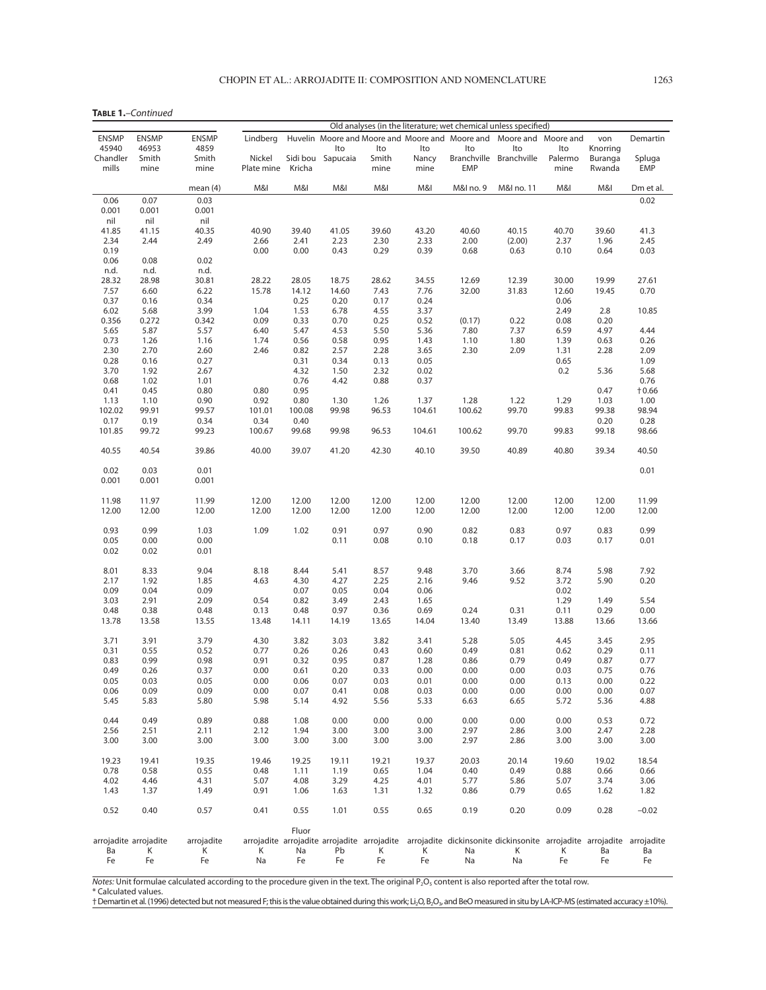**TABLE 1.**–Continued

|                             | Old analyses (in the literature; wet chemical unless specified) |                 |                      |                |                   |                |                |                                                                                                                         |                         |                 |                   |                      |
|-----------------------------|-----------------------------------------------------------------|-----------------|----------------------|----------------|-------------------|----------------|----------------|-------------------------------------------------------------------------------------------------------------------------|-------------------------|-----------------|-------------------|----------------------|
| <b>ENSMP</b>                | <b>ENSMP</b>                                                    | <b>ENSMP</b>    | Lindberg             |                |                   |                |                | Huvelin Moore and Moore and Moore and Moore and                                                                         | Moore and Moore and     |                 | von               | Demartin             |
| 45940                       | 46953                                                           | 4859            |                      |                | Ito               | Ito            | Ito            | Ito                                                                                                                     | Ito                     | Ito             | Knorring          |                      |
| Chandler<br>mills           | Smith<br>mine                                                   | Smith<br>mine   | Nickel<br>Plate mine | Kricha         | Sidi bou Sapucaia | Smith<br>mine  | Nancy<br>mine  | <b>EMP</b>                                                                                                              | Branchville Branchville | Palermo<br>mine | Buranga<br>Rwanda | Spluga<br><b>EMP</b> |
|                             |                                                                 | mean $(4)$      | M&I                  | M&I            | M&I               | M&I            | M&I            | M&I no. 9                                                                                                               | M&l no. 11              | M&I             | M&I               | Dm et al.            |
| 0.06                        | 0.07                                                            | 0.03            |                      |                |                   |                |                |                                                                                                                         |                         |                 |                   | 0.02                 |
| 0.001                       | 0.001                                                           | 0.001           |                      |                |                   |                |                |                                                                                                                         |                         |                 |                   |                      |
| nil                         | nil                                                             | nil             |                      |                |                   |                |                |                                                                                                                         |                         |                 |                   |                      |
| 41.85                       | 41.15                                                           | 40.35           | 40.90                | 39.40          | 41.05             | 39.60          | 43.20          | 40.60                                                                                                                   | 40.15                   | 40.70           | 39.60             | 41.3                 |
| 2.34                        | 2.44                                                            | 2.49            | 2.66                 | 2.41           | 2.23              | 2.30           | 2.33           | 2.00                                                                                                                    | (2.00)                  | 2.37            | 1.96              | 2.45                 |
| 0.19<br>0.06                | 0.08                                                            | 0.02            | 0.00                 | 0.00           | 0.43              | 0.29           | 0.39           | 0.68                                                                                                                    | 0.63                    | 0.10            | 0.64              | 0.03                 |
| n.d.                        | n.d.                                                            | n.d.            |                      |                |                   |                |                |                                                                                                                         |                         |                 |                   |                      |
| 28.32                       | 28.98                                                           | 30.81           | 28.22                | 28.05          | 18.75             | 28.62          | 34.55          | 12.69                                                                                                                   | 12.39                   | 30.00           | 19.99             | 27.61                |
| 7.57                        | 6.60                                                            | 6.22            | 15.78                | 14.12          | 14.60             | 7.43           | 7.76           | 32.00                                                                                                                   | 31.83                   | 12.60           | 19.45             | 0.70                 |
| 0.37                        | 0.16                                                            | 0.34            |                      | 0.25           | 0.20              | 0.17           | 0.24           |                                                                                                                         |                         | 0.06            |                   |                      |
| 6.02                        | 5.68                                                            | 3.99            | 1.04                 | 1.53           | 6.78              | 4.55           | 3.37           |                                                                                                                         |                         | 2.49            | 2.8               | 10.85                |
| 0.356<br>5.65               | 0.272<br>5.87                                                   | 0.342<br>5.57   | 0.09<br>6.40         | 0.33<br>5.47   | 0.70<br>4.53      | 0.25<br>5.50   | 0.52<br>5.36   | (0.17)<br>7.80                                                                                                          | 0.22<br>7.37            | 0.08<br>6.59    | 0.20<br>4.97      | 4.44                 |
| 0.73                        | 1.26                                                            | 1.16            | 1.74                 | 0.56           | 0.58              | 0.95           | 1.43           | 1.10                                                                                                                    | 1.80                    | 1.39            | 0.63              | 0.26                 |
| 2.30                        | 2.70                                                            | 2.60            | 2.46                 | 0.82           | 2.57              | 2.28           | 3.65           | 2.30                                                                                                                    | 2.09                    | 1.31            | 2.28              | 2.09                 |
| 0.28                        | 0.16                                                            | 0.27            |                      | 0.31           | 0.34              | 0.13           | 0.05           |                                                                                                                         |                         | 0.65            |                   | 1.09                 |
| 3.70                        | 1.92                                                            | 2.67            |                      | 4.32           | 1.50              | 2.32           | 0.02           |                                                                                                                         |                         | 0.2             | 5.36              | 5.68                 |
| 0.68                        | 1.02                                                            | 1.01            |                      | 0.76           | 4.42              | 0.88           | 0.37           |                                                                                                                         |                         |                 |                   | 0.76                 |
| 0.41<br>1.13                | 0.45<br>1.10                                                    | 0.80<br>0.90    | 0.80<br>0.92         | 0.95<br>0.80   | 1.30              | 1.26           | 1.37           | 1.28                                                                                                                    | 1.22                    | 1.29            | 0.47<br>1.03      | $+0.66$<br>1.00      |
| 102.02                      | 99.91                                                           | 99.57           | 101.01               | 100.08         | 99.98             | 96.53          | 104.61         | 100.62                                                                                                                  | 99.70                   | 99.83           | 99.38             | 98.94                |
| 0.17                        | 0.19                                                            | 0.34            | 0.34                 | 0.40           |                   |                |                |                                                                                                                         |                         |                 | 0.20              | 0.28                 |
| 101.85                      | 99.72                                                           | 99.23           | 100.67               | 99.68          | 99.98             | 96.53          | 104.61         | 100.62                                                                                                                  | 99.70                   | 99.83           | 99.18             | 98.66                |
| 40.55                       | 40.54                                                           | 39.86           | 40.00                | 39.07          | 41.20             | 42.30          | 40.10          | 39.50                                                                                                                   | 40.89                   | 40.80           | 39.34             | 40.50                |
| 0.02<br>0.001               | 0.03<br>0.001                                                   | 0.01<br>0.001   |                      |                |                   |                |                |                                                                                                                         |                         |                 |                   | 0.01                 |
| 11.98<br>12.00              | 11.97<br>12.00                                                  | 11.99<br>12.00  | 12.00<br>12.00       | 12.00<br>12.00 | 12.00<br>12.00    | 12.00<br>12.00 | 12.00<br>12.00 | 12.00<br>12.00                                                                                                          | 12.00<br>12.00          | 12.00<br>12.00  | 12.00<br>12.00    | 11.99<br>12.00       |
| 0.93                        | 0.99                                                            | 1.03            | 1.09                 | 1.02           | 0.91              | 0.97           | 0.90           | 0.82                                                                                                                    | 0.83                    | 0.97            | 0.83              | 0.99                 |
| 0.05                        | 0.00                                                            | 0.00            |                      |                | 0.11              | 0.08           | 0.10           | 0.18                                                                                                                    | 0.17                    | 0.03            | 0.17              | 0.01                 |
| 0.02                        | 0.02                                                            | 0.01            |                      |                |                   |                |                |                                                                                                                         |                         |                 |                   |                      |
| 8.01                        | 8.33                                                            | 9.04            | 8.18                 | 8.44           | 5.41              | 8.57           | 9.48           | 3.70                                                                                                                    | 3.66                    | 8.74            | 5.98              | 7.92                 |
| 2.17                        | 1.92                                                            | 1.85            | 4.63                 | 4.30           | 4.27              | 2.25           | 2.16           | 9.46                                                                                                                    | 9.52                    | 3.72            | 5.90              | 0.20                 |
| 0.09                        | 0.04                                                            | 0.09            |                      | 0.07           | 0.05              | 0.04           | 0.06           |                                                                                                                         |                         | 0.02            |                   |                      |
| 3.03<br>0.48                | 2.91<br>0.38                                                    | 2.09<br>0.48    | 0.54<br>0.13         | 0.82<br>0.48   | 3.49<br>0.97      | 2.43<br>0.36   | 1.65<br>0.69   | 0.24                                                                                                                    | 0.31                    | 1.29<br>0.11    | 1.49<br>0.29      | 5.54<br>0.00         |
| 13.78                       | 13.58                                                           | 13.55           | 13.48                | 14.11          | 14.19             | 13.65          | 14.04          | 13.40                                                                                                                   | 13.49                   | 13.88           | 13.66             | 13.66                |
|                             |                                                                 |                 |                      |                |                   |                |                |                                                                                                                         |                         |                 |                   |                      |
| 3.71                        | 3.91                                                            | 3.79            | 4.30                 | 3.82           | 3.03              | 3.82           | 3.41           | 5.28                                                                                                                    | 5.05                    | 4.45            | 3.45              | 2.95                 |
| 0.31                        | 0.55                                                            | 0.52            | 0.77                 | 0.26           | 0.26              | 0.43           | 0.60           | 0.49                                                                                                                    | 0.81                    | 0.62            | 0.29              | 0.11                 |
| 0.83<br>0.49                | 0.99<br>0.26                                                    | 0.98<br>0.37    | 0.91<br>0.00         | 0.32<br>0.61   | 0.95<br>0.20      | 0.87<br>0.33   | 1.28<br>0.00   | 0.86<br>0.00                                                                                                            | 0.79<br>0.00            | 0.49<br>0.03    | 0.87<br>0.75      | 0.77<br>0.76         |
| 0.05                        | 0.03                                                            | 0.05            | 0.00                 | 0.06           | 0.07              | 0.03           | 0.01           | 0.00                                                                                                                    | 0.00                    | 0.13            | 0.00              | 0.22                 |
| 0.06                        | 0.09                                                            | 0.09            | 0.00                 | 0.07           | 0.41              | 0.08           | 0.03           | 0.00                                                                                                                    | 0.00                    | 0.00            | 0.00              | 0.07                 |
| 5.45                        | 5.83                                                            | 5.80            | 5.98                 | 5.14           | 4.92              | 5.56           | 5.33           | 6.63                                                                                                                    | 6.65                    | 5.72            | 5.36              | 4.88                 |
| 0.44                        | 0.49                                                            | 0.89            | 0.88                 | 1.08           | 0.00              | 0.00           | 0.00           | 0.00                                                                                                                    | 0.00                    | 0.00            | 0.53              | 0.72                 |
| 2.56                        | 2.51                                                            | 2.11            | 2.12                 | 1.94           | 3.00              | 3.00           | 3.00           | 2.97                                                                                                                    | 2.86                    | 3.00            | 2.47              | 2.28                 |
| 3.00                        | 3.00                                                            | 3.00            | 3.00                 | 3.00           | 3.00              | 3.00           | 3.00           | 2.97                                                                                                                    | 2.86                    | 3.00            | 3.00              | 3.00                 |
| 19.23                       | 19.41                                                           | 19.35           | 19.46                | 19.25          | 19.11             | 19.21          | 19.37          | 20.03                                                                                                                   | 20.14                   | 19.60           | 19.02             | 18.54                |
| 0.78                        | 0.58                                                            | 0.55            | 0.48                 | 1.11           | 1.19              | 0.65           | 1.04           | 0.40                                                                                                                    | 0.49                    | 0.88            | 0.66              | 0.66                 |
| 4.02                        | 4.46                                                            | 4.31            | 5.07                 | 4.08           | 3.29              | 4.25           | 4.01           | 5.77                                                                                                                    | 5.86                    | 5.07            | 3.74              | 3.06                 |
| 1.43                        | 1.37                                                            | 1.49            | 0.91                 | 1.06           | 1.63              | 1.31           | 1.32           | 0.86                                                                                                                    | 0.79                    | 0.65            | 1.62              | 1.82                 |
| 0.52                        | 0.40                                                            | 0.57            | 0.41                 | 0.55           | 1.01              | 0.55           | 0.65           | 0.19                                                                                                                    | 0.20                    | 0.09            | 0.28              | $-0.02$              |
|                             |                                                                 |                 |                      | Fluor          |                   |                |                |                                                                                                                         |                         |                 |                   |                      |
| arrojadite arrojadite<br>Ba | Κ                                                               | arrojadite<br>Κ | Κ                    | Na             | Pb                | Κ              | Κ              | arrojadite arrojadite arrojadite arrojadite arrojadite dickinsonite dickinsonite arrojadite arrojadite arrojadite<br>Na | Κ                       | Κ               | Ba                | Ba                   |
| Fe                          | Fe                                                              | Fe              | Na                   | Fe             | Fe                | Fe             | Fe             | Na                                                                                                                      | Na                      | Fe              | Fe                | Fe                   |
|                             |                                                                 |                 |                      |                |                   |                |                |                                                                                                                         |                         |                 |                   |                      |

Notes: Unit formulae calculated according to the procedure given in the text. The original P<sub>2</sub>O<sub>5</sub> content is also reported after the total row.<br>\* Calculated values.

† Demartin et al. (1996) detected but not measured F; this is the value obtained during this work; Li2O, B2O3, and BeO measured in situ by LA-ICP-MS (estimated accuracy ±10%).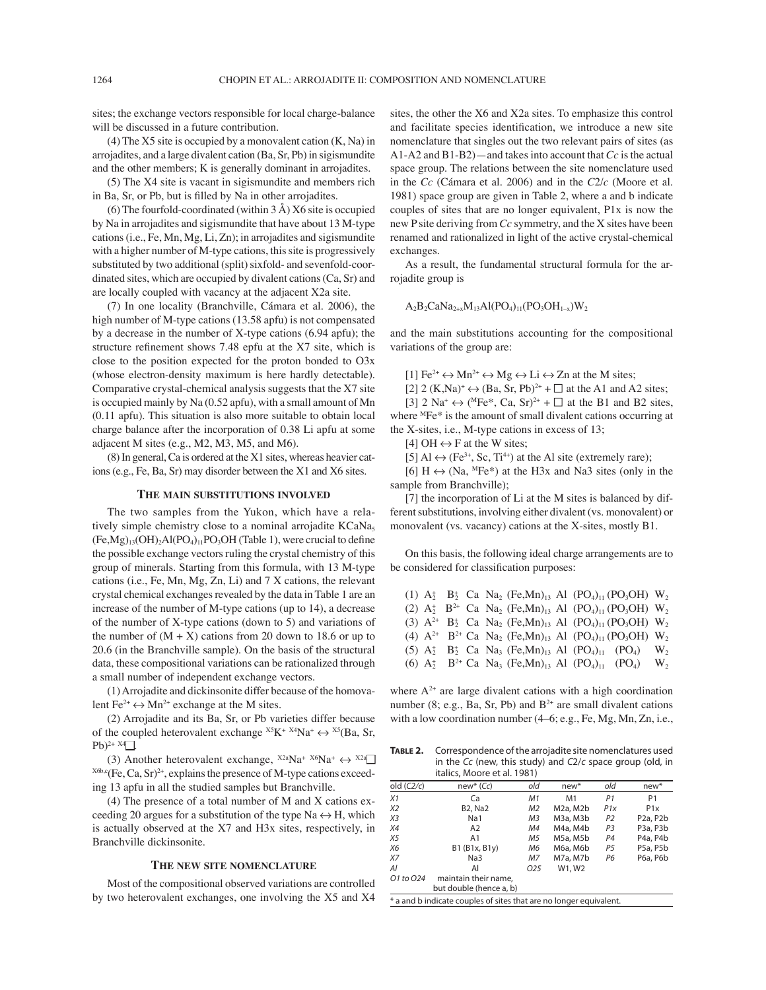sites; the exchange vectors responsible for local charge-balance will be discussed in a future contribution.

(4) The X5 site is occupied by a monovalent cation (K, Na) in arrojadites, and a large divalent cation (Ba, Sr, Pb) in sigismundite and the other members; K is generally dominant in arrojadites.

(5) The X4 site is vacant in sigismundite and members rich in Ba, Sr, or Pb, but is filled by Na in other arrojadites.

(6) The fourfold-coordinated (within  $3 \text{ Å}$ ) X6 site is occupied by Na in arrojadites and sigismundite that have about 13 M-type cations (i.e., Fe, Mn, Mg, Li, Zn); in arrojadites and sigismundite with a higher number of M-type cations, this site is progressively substituted by two additional (split) sixfold- and sevenfold-coordinated sites, which are occupied by divalent cations (Ca, Sr) and are locally coupled with vacancy at the adjacent X2a site.

(7) In one locality (Branchville, Cámara et al. 2006), the high number of M-type cations (13.58 apfu) is not compensated by a decrease in the number of X-type cations (6.94 apfu); the structure refinement shows 7.48 epfu at the X7 site, which is close to the position expected for the proton bonded to O3x (whose electron-density maximum is here hardly detectable). Comparative crystal-chemical analysis suggests that the X7 site is occupied mainly by Na (0.52 apfu), with a small amount of Mn (0.11 apfu). This situation is also more suitable to obtain local charge balance after the incorporation of 0.38 Li apfu at some adjacent M sites (e.g., M2, M3, M5, and M6).

(8) In general, Ca is ordered at the X1 sites, whereas heavier cations (e.g., Fe, Ba, Sr) may disorder between the X1 and X6 sites.

#### **THE MAIN SUBSTITUTIONS INVOLVED**

The two samples from the Yukon, which have a relatively simple chemistry close to a nominal arrojadite KCaNa<sub>5</sub>  $(Fe, Mg)_{13}(OH)_{2}Al(PO_{4})_{11}PO_{3}OH$  (Table 1), were crucial to define the possible exchange vectors ruling the crystal chemistry of this group of minerals. Starting from this formula, with 13 M-type cations (i.e., Fe, Mn, Mg, Zn, Li) and 7 X cations, the relevant crystal chemical exchanges revealed by the data in Table 1 are an increase of the number of M-type cations (up to 14), a decrease of the number of X-type cations (down to 5) and variations of the number of  $(M + X)$  cations from 20 down to 18.6 or up to 20.6 (in the Branchville sample). On the basis of the structural data, these compositional variations can be rationalized through a small number of independent exchange vectors.

(1) Arrojadite and dickinsonite differ because of the homovalent Fe<sup>2+</sup>  $\leftrightarrow$  Mn<sup>2+</sup> exchange at the M sites.

(2) Arrojadite and its Ba, Sr, or Pb varieties differ because of the coupled heterovalent exchange  ${}^{X5}K^+{}^{X4}Na^+ \leftrightarrow {}^{X5}(Ba, Sr,$  $Pb)^{2+ X4}$ .

(3) Another heterovalent exchange,  $X^{2a}Na^{+} X^{6}Na^{+} \leftrightarrow X^{2a}$  $X^{6b,c}$ (Fe, Ca, Sr)<sup>2+</sup>, explains the presence of M-type cations exceeding 13 apfu in all the studied samples but Branchville.

(4) The presence of a total number of M and X cations exceeding 20 argues for a substitution of the type Na  $\leftrightarrow$  H, which is actually observed at the X7 and H3x sites, respectively, in Branchville dickinsonite.

#### **THE NEW SITE NOMENCLATURE**

Most of the compositional observed variations are controlled by two heterovalent exchanges, one involving the X5 and X4 sites, the other the X6 and X2a sites. To emphasize this control and facilitate species identification, we introduce a new site nomenclature that singles out the two relevant pairs of sites (as A1-A2 and B1-B2)—and takes into account that  $Cc$  is the actual space group. The relations between the site nomenclature used in the  $Cc$  (Cámara et al. 2006) and in the  $C2/c$  (Moore et al. 1981) space group are given in Table 2, where a and b indicate couples of sites that are no longer equivalent, P1x is now the new P site deriving from *Cc* symmetry, and the X sites have been renamed and rationalized in light of the active crystal-chemical exchanges.

As a result, the fundamental structural formula for the arrojadite group is

 $A_2B_2CaNa_{2+x}M_{13}Al(PO_4)_{11}(PO_3OH_{1-x})W_2$ 

and the main substitutions accounting for the compositional variations of the group are:

 $[1] \text{Fe}^{2+} \leftrightarrow \text{Mn}^{2+} \leftrightarrow \text{Mg} \leftrightarrow \text{Li} \leftrightarrow \text{Zn}$  at the M sites;

[2] 2 (K,Na)<sup>+</sup>  $\leftrightarrow$  (Ba, Sr, Pb)<sup>2+</sup> +  $\Box$  at the A1 and A2 sites; [3] 2 Na<sup>+</sup>  $\leftrightarrow$  (<sup>M</sup>Fe<sup>\*</sup>, Ca, Sr)<sup>2+</sup> +  $\Box$  at the B1 and B2 sites, where <sup>M</sup>Fe<sup>\*</sup> is the amount of small divalent cations occurring at

the X-sites, i.e., M-type cations in excess of 13; [4] OH  $\leftrightarrow$  F at the W sites;

[5] Al  $\leftrightarrow$  (Fe<sup>3+</sup>, Sc, Ti<sup>4+</sup>) at the Al site (extremely rare);

[6] H  $\leftrightarrow$  (Na, <sup>M</sup>Fe<sup>\*</sup>) at the H3x and Na3 sites (only in the sample from Branchville);

[7] the incorporation of Li at the M sites is balanced by different substitutions, involving either divalent (vs. monovalent) or monovalent (vs. vacancy) cations at the X-sites, mostly B1.

On this basis, the following ideal charge arrangements are to be considered for classification purposes:

|  |  | (1) $A_2^+$ $B_2^+$ Ca Na <sub>2</sub> (Fe,Mn) <sub>13</sub> Al (PO <sub>4</sub> ) <sub>11</sub> (PO <sub>3</sub> OH) W <sub>2</sub>                      |  |  |
|--|--|-----------------------------------------------------------------------------------------------------------------------------------------------------------|--|--|
|  |  | (2) $A_2^+$ $B^{2+}$ Ca Na <sub>2</sub> (Fe,Mn) <sub>13</sub> Al (PO <sub>4</sub> ) <sub>11</sub> (PO <sub>3</sub> OH) W <sub>2</sub>                     |  |  |
|  |  | (3) $A^{2+}$ B <sub>2</sub> <sup>+</sup> Ca Na <sub>2</sub> (Fe,Mn) <sub>13</sub> Al (PO <sub>4</sub> ) <sub>11</sub> (PO <sub>3</sub> OH) W <sub>2</sub> |  |  |
|  |  | (4) $A^{2+}B^{2+}Ca Na_2$ (Fe,Mn) <sub>13</sub> Al (PO <sub>4</sub> ) <sub>11</sub> (PO <sub>3</sub> OH) W <sub>2</sub>                                   |  |  |
|  |  | (5) $A_2^+$ $B_2^+$ Ca Na <sub>3</sub> (Fe,Mn) <sub>13</sub> Al (PO <sub>4</sub> ) <sub>11</sub> (PO <sub>4</sub> ) W <sub>2</sub>                        |  |  |
|  |  | (6) $A_2^+$ $B^{2+}$ Ca Na <sub>3</sub> (Fe,Mn) <sub>13</sub> Al (PO <sub>4</sub> ) <sub>11</sub> (PO <sub>4</sub> ) W <sub>2</sub>                       |  |  |

where  $A^{2+}$  are large divalent cations with a high coordination number (8; e.g., Ba, Sr, Pb) and  $B^{2+}$  are small divalent cations with a low coordination number  $(4-6; e.g., Fe, Mg, Mn, Zn, i.e.,)$ 

**TABLE 2.** Correspondence of the arrojadite site nomenclatures used in the Cc (new, this study) and C2/c space group (old, in italics, Moore et al. 1981)

| old $(C2/c)$   | $new*(Cc)$              | old             | $new*$                             | old            | $new*$                             |
|----------------|-------------------------|-----------------|------------------------------------|----------------|------------------------------------|
| X1             | Ca                      | M1              | M1                                 | P <sub>1</sub> | P <sub>1</sub>                     |
| X <sub>2</sub> | <b>B2, Na2</b>          | M2              | M <sub>2</sub> a, M <sub>2</sub> b | P1x            | P1x                                |
| X3             | Na1                     | M3              | M <sub>3</sub> a, M <sub>3</sub> b | P <sub>2</sub> | P <sub>2a</sub> , P <sub>2b</sub>  |
| X4             | A2                      | M4              | M4a, M4b                           | P3             | P <sub>3</sub> a, P <sub>3</sub> b |
| X <sub>5</sub> | A <sub>1</sub>          | M5              | M5a, M5b                           | P <sub>4</sub> | P4a, P4b                           |
| X6             | B1 (B1x, B1y)           | M6              | M6a, M6b                           | P <sub>5</sub> | P5a, P5b                           |
| X7             | Na3                     | M7              | M7a, M7b                           | P <sub>6</sub> | P6a, P6b                           |
| Al             | Al                      | O <sub>25</sub> | W1.W2                              |                |                                    |
| O1 to O24      | maintain their name,    |                 |                                    |                |                                    |
|                | but double (hence a, b) |                 |                                    |                |                                    |
|                |                         |                 |                                    |                |                                    |

\* a and b indicate couples of sites that are no longer equivalent.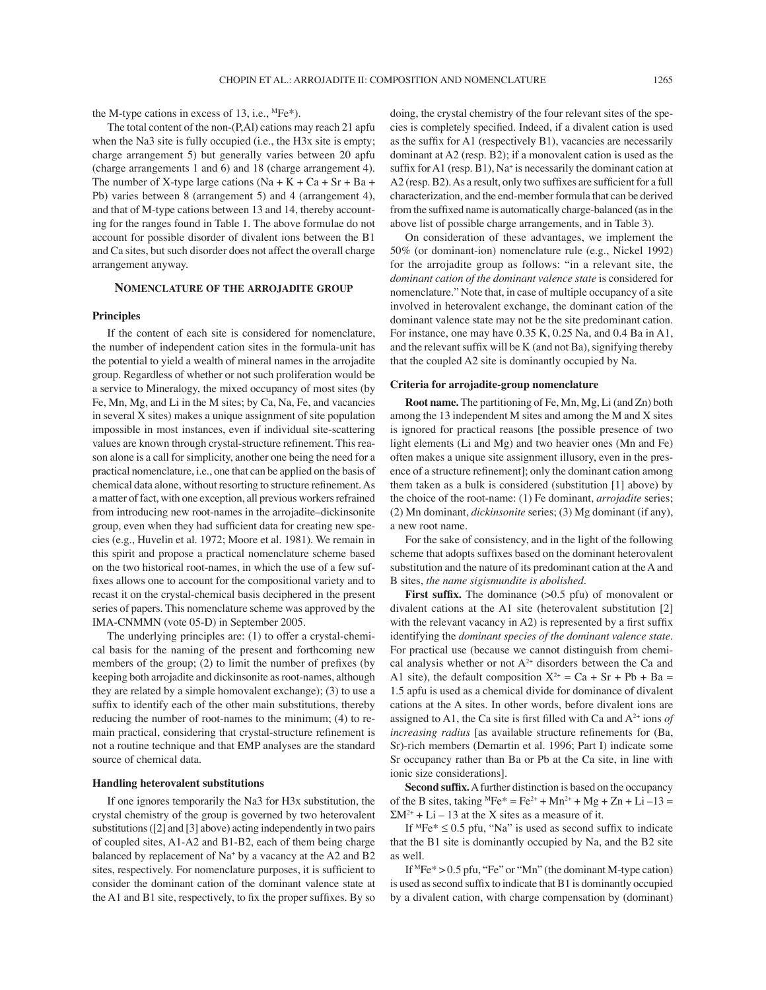the M-type cations in excess of 13, i.e., MFe\*).

The total content of the non-(P,Al) cations may reach 21 apfu when the Na3 site is fully occupied (i.e., the H3x site is empty; charge arrangement 5) but generally varies between 20 apfu (charge arrangements 1 and 6) and 18 (charge arrangement 4). The number of X-type large cations (Na + K + Ca + Sr + Ba + Pb) varies between 8 (arrangement 5) and 4 (arrangement 4), and that of M-type cations between 13 and 14, thereby accounting for the ranges found in Table 1. The above formulae do not account for possible disorder of divalent ions between the B1 and Ca sites, but such disorder does not affect the overall charge arrangement anyway.

## **NOMENCLATURE OF THE ARROJADITE GROUP**

#### **Principles**

If the content of each site is considered for nomenclature, the number of independent cation sites in the formula-unit has the potential to yield a wealth of mineral names in the arrojadite group. Regardless of whether or not such proliferation would be a service to Mineralogy, the mixed occupancy of most sites (by Fe, Mn, Mg, and Li in the M sites; by Ca, Na, Fe, and vacancies in several X sites) makes a unique assignment of site population impossible in most instances, even if individual site-scattering values are known through crystal-structure refinement. This reason alone is a call for simplicity, another one being the need for a practical nomenclature, i.e., one that can be applied on the basis of chemical data alone, without resorting to structure refinement. As a matter of fact, with one exception, all previous workers refrained from introducing new root-names in the arrojadite-dickinsonite group, even when they had sufficient data for creating new species (e.g., Huvelin et al. 1972; Moore et al. 1981). We remain in this spirit and propose a practical nomenclature scheme based on the two historical root-names, in which the use of a few suffixes allows one to account for the compositional variety and to recast it on the crystal-chemical basis deciphered in the present series of papers. This nomenclature scheme was approved by the IMA-CNMMN (vote 05-D) in September 2005.

The underlying principles are: (1) to offer a crystal-chemical basis for the naming of the present and forthcoming new members of the group;  $(2)$  to limit the number of prefixes (by keeping both arrojadite and dickinsonite as root-names, although they are related by a simple homovalent exchange); (3) to use a suffix to identify each of the other main substitutions, thereby reducing the number of root-names to the minimum; (4) to remain practical, considering that crystal-structure refinement is not a routine technique and that EMP analyses are the standard source of chemical data.

#### **Handling heterovalent substitutions**

If one ignores temporarily the Na3 for H3x substitution, the crystal chemistry of the group is governed by two heterovalent substitutions ([2] and [3] above) acting independently in two pairs of coupled sites, A1-A2 and B1-B2, each of them being charge balanced by replacement of Na<sup>+</sup> by a vacancy at the A2 and B2 sites, respectively. For nomenclature purposes, it is sufficient to consider the dominant cation of the dominant valence state at the A1 and B1 site, respectively, to fix the proper suffixes. By so

doing, the crystal chemistry of the four relevant sites of the species is completely specified. Indeed, if a divalent cation is used as the suffix for A1 (respectively  $B1$ ), vacancies are necessarily dominant at A2 (resp. B2); if a monovalent cation is used as the suffix for A1 (resp.  $B1$ ),  $Na<sup>+</sup>$  is necessarily the dominant cation at A2 (resp. B2). As a result, only two suffixes are sufficient for a full characterization, and the end-member formula that can be derived from the suffi xed name is automatically charge-balanced (as in the above list of possible charge arrangements, and in Table 3).

On consideration of these advantages, we implement the 50% (or dominant-ion) nomenclature rule (e.g., Nickel 1992) for the arrojadite group as follows: "in a relevant site, the *dominant cation of the dominant valence state* is considered for nomenclature." Note that, in case of multiple occupancy of a site involved in heterovalent exchange, the dominant cation of the dominant valence state may not be the site predominant cation. For instance, one may have 0.35 K, 0.25 Na, and 0.4 Ba in A1, and the relevant suffix will be K (and not Ba), signifying thereby that the coupled A2 site is dominantly occupied by Na.

#### **Criteria for arrojadite-group nomenclature**

**Root name.** The partitioning of Fe, Mn, Mg, Li (and Zn) both among the 13 independent M sites and among the M and X sites is ignored for practical reasons [the possible presence of two light elements (Li and Mg) and two heavier ones (Mn and Fe) often makes a unique site assignment illusory, even in the presence of a structure refinement]; only the dominant cation among them taken as a bulk is considered (substitution [1] above) by the choice of the root-name: (1) Fe dominant, *arrojadite* series; (2) Mn dominant, *dickinsonite* series; (3) Mg dominant (if any), a new root name.

For the sake of consistency, and in the light of the following scheme that adopts suffixes based on the dominant heterovalent substitution and the nature of its predominant cation at the A and B sites, *the name sigismundite is abolished*.

**First suffix.** The dominance (>0.5 pfu) of monovalent or divalent cations at the A1 site (heterovalent substitution [2] with the relevant vacancy in  $A2$ ) is represented by a first suffix identifying the *dominant species of the dominant valence state*. For practical use (because we cannot distinguish from chemical analysis whether or not  $A^{2+}$  disorders between the Ca and A1 site), the default composition  $X^{2+} = Ca + Sr + Pb + Ba =$ 1.5 apfu is used as a chemical divide for dominance of divalent cations at the A sites. In other words, before divalent ions are assigned to A1, the Ca site is first filled with Ca and  $A^{2+}$  ions of *increasing radius* [as available structure refinements for (Ba, Sr)-rich members (Demartin et al. 1996; Part I) indicate some Sr occupancy rather than Ba or Pb at the Ca site, in line with ionic size considerations].

**Second suffi x.** A further distinction is based on the occupancy of the B sites, taking  $MFe^* = Fe^{2+} + Mn^{2+} + Mg + Zn + Li - 13 =$  $\Sigma M^{2+} + Li - 13$  at the X sites as a measure of it.

If  $MFe^* \leq 0.5$  pfu, "Na" is used as second suffix to indicate that the B1 site is dominantly occupied by Na, and the B2 site as well.

If  $MFe^* > 0.5$  pfu, "Fe" or "Mn" (the dominant M-type cation) is used as second suffix to indicate that  $B1$  is dominantly occupied by a divalent cation, with charge compensation by (dominant)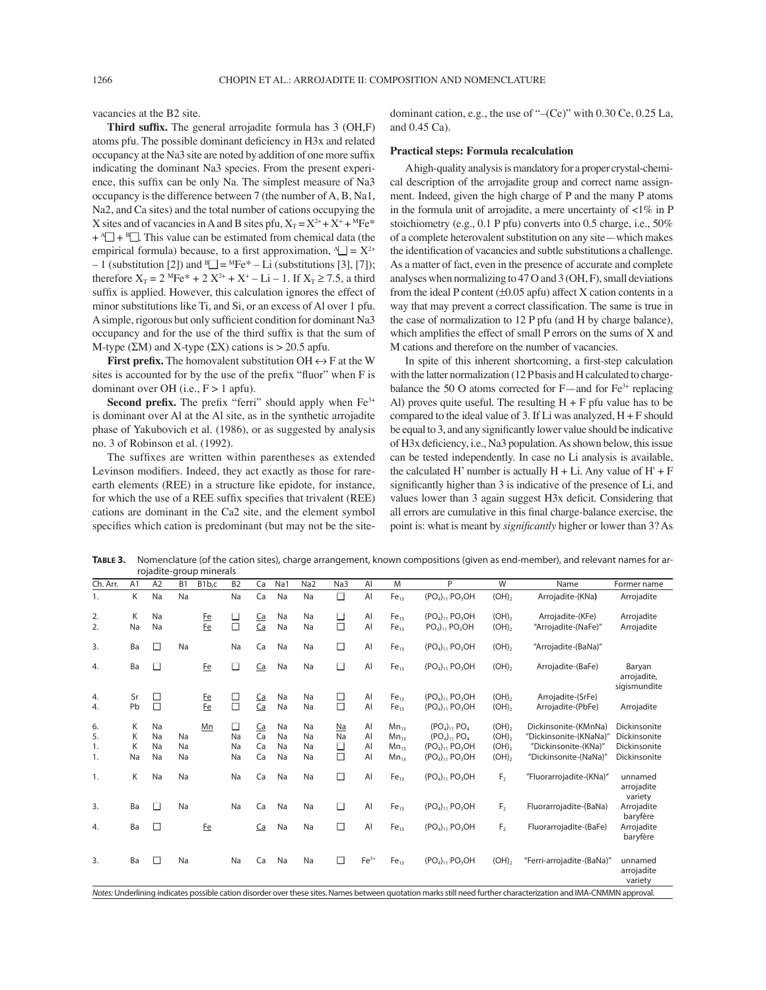vacancies at the B2 site.

**Third suffix.** The general arrojadite formula has 3 (OH,F) atoms pfu. The possible dominant deficiency in H3x and related occupancy at the Na3 site are noted by addition of one more suffix indicating the dominant Na3 species. From the present experience, this suffix can be only Na. The simplest measure of Na3 occupancy is the difference between 7 (the number of A, B, Na1, Na2, and Ca sites) and the total number of cations occupying the X sites and of vacancies in A and B sites pfu,  $X_T = X^{2+} + X^+ + MFe^*$  $+$ <sup>A</sup> $\Box$  + <sup>B</sup> $\Box$ . This value can be estimated from chemical data (the empirical formula) because, to a first approximation,  $\mathbb{A} \square = X^{2+}$  $-1$  (substitution [2]) and  ${}^{B}\square = {}^{M}Fe^{*} - Li$  (substitutions [3], [7]); therefore  $X_T = 2^M Fe^* + 2 X^{2+} + X^* - Li - 1$ . If  $X_T \ge 7.5$ , a third suffix is applied. However, this calculation ignores the effect of minor substitutions like Ti, and Si, or an excess of Al over 1 pfu. A simple, rigorous but only sufficient condition for dominant Na3 occupancy and for the use of the third suffix is that the sum of M-type  $(EM)$  and X-type  $(\Sigma X)$  cations is  $> 20.5$  apfu.

**First prefix.** The homovalent substitution  $OH \leftrightarrow F$  at the W sites is accounted for by the use of the prefix "fluor" when F is dominant over OH (i.e.,  $F > 1$  apfu).

**Second prefix.** The prefix "ferri" should apply when  $Fe^{3+}$ is dominant over Al at the Al site, as in the synthetic arrojadite phase of Yakubovich et al. (1986), or as suggested by analysis no. 3 of Robinson et al. (1992).

The suffixes are written within parentheses as extended Levinson modifiers. Indeed, they act exactly as those for rareearth elements (REE) in a structure like epidote, for instance, for which the use of a REE suffix specifies that trivalent (REE) cations are dominant in the Ca2 site, and the element symbol specifies which cation is predominant (but may not be the site-

dominant cation, e.g., the use of " $-(Ce)$ " with 0.30 Ce, 0.25 La, and 0.45 Ca).

#### **Practical steps: Formula recalculation**

A high-quality analysis is mandatory for a proper crystal-chemical description of the arrojadite group and correct name assignment. Indeed, given the high charge of P and the many P atoms in the formula unit of arrojadite, a mere uncertainty of  $\langle 1\% \rangle$  in P stoichiometry (e.g., 0.1 P pfu) converts into 0.5 charge, i.e., 50% of a complete heterovalent substitution on any site—which makes the identification of vacancies and subtle substitutions a challenge. As a matter of fact, even in the presence of accurate and complete analyses when normalizing to 47 O and 3 (OH, F), small deviations from the ideal P content  $(\pm 0.05$  apfu) affect X cation contents in a way that may prevent a correct classification. The same is true in the case of normalization to 12 P pfu (and H by charge balance), which amplifies the effect of small P errors on the sums of  $X$  and M cations and therefore on the number of vacancies.

In spite of this inherent shortcoming, a first-step calculation with the latter normalization (12 P basis and H calculated to chargebalance the 50 O atoms corrected for  $F$ —and for  $Fe<sup>3+</sup>$  replacing Al) proves quite useful. The resulting  $H + F$  pfu value has to be compared to the ideal value of 3. If Li was analyzed,  $H + F$  should be equal to 3, and any significantly lower value should be indicative of H3x deficiency, i.e., Na3 population. As shown below, this issue can be tested independently. In case no Li analysis is available, the calculated H' number is actually  $H + Li$ . Any value of  $H' + F$ significantly higher than 3 is indicative of the presence of Li, and values lower than 3 again suggest H3x deficit. Considering that all errors are cumulative in this final charge-balance exercise, the point is: what is meant by *significantly* higher or lower than 3? As

**TABLE 3.** Nomenclature (of the cation sites), charge arrangement, known compositions (given as end-member), and relevant names for arrojadite-group minerals

| Ch. Arr.             | A <sub>1</sub>    | A2                   | <b>B1</b>      | B <sub>1</sub> b <sub>,c</sub> | B <sub>2</sub>      | Ca                   | Na1                  | Na <sub>2</sub>      | Na3                                               | AI                   | M                                                | P                                                                    | W                                                 | Name                                                                                            | Former name                                                  |
|----------------------|-------------------|----------------------|----------------|--------------------------------|---------------------|----------------------|----------------------|----------------------|---------------------------------------------------|----------------------|--------------------------------------------------|----------------------------------------------------------------------|---------------------------------------------------|-------------------------------------------------------------------------------------------------|--------------------------------------------------------------|
| 1.                   | K                 | Na                   | Na             |                                | Na                  | Ca                   | Na                   | Na                   | $\Box$                                            | Al                   | Fe <sub>13</sub>                                 | $(PO4)11 PO3OH$                                                      | (OH) <sub>2</sub>                                 | Arrojadite-(KNa)                                                                                | Arrojadite                                                   |
| 2.<br>2.             | K<br>Na           | Na<br>Na             |                | <b>Fe</b><br>Fe                | $\Box$<br>$\Box$    | Ca<br>Ca             | Na<br>Na             | Na<br>Na             | $\begin{array}{c} \square \\ \square \end{array}$ | Al<br>Al             | Fe <sub>13</sub><br>Fe <sub>13</sub>             | $(PO4)11 PO3OH$<br>$PO_4$ <sub>11</sub> $PO_3OH$                     | $(OH)$ ,<br>(OH) <sub>2</sub>                     | Arrojadite-(KFe)<br>"Arrojadite-(NaFe)"                                                         | Arrojadite<br>Arrojadite                                     |
| 3.                   | Ba                | □                    | Na             |                                | Na                  | Ca                   | Na                   | Na                   | $\Box$                                            | Al                   | Fe <sub>13</sub>                                 | $(PO4)11 PO3OH$                                                      | (OH) <sub>2</sub>                                 | "Arrojadite-(BaNa)"                                                                             |                                                              |
| 4.                   | Ba                | П                    |                | <b>Fe</b>                      | □                   | Ca                   | Na                   | Na                   | $\Box$                                            | AI                   | Fe <sub>13</sub>                                 | $(PO4)11 PO3OH$                                                      | $(OH)_2$                                          | Arrojadite-(BaFe)                                                                               | Baryan<br>arrojadite,<br>sigismundite                        |
| 4.<br>4.             | Sr<br>Pb          | □<br>$\Box$          |                | <u>Fe</u><br>Fe                | $\Box$<br>$\Box$    | Ca<br>Ca             | Na<br>Na             | Na<br>Na             | □<br>$\Box$                                       | Al<br>AI             | Fe <sub>13</sub><br>Fe <sub>13</sub>             | $(PO4)11 PO3OH$<br>$(PO4)11 PO3OH$                                   | (OH)<br>$(OH)_{2}$                                | Arrojadite-(SrFe)<br>Arrojadite-(PbFe)                                                          | Arrojadite                                                   |
| 6.<br>5.<br>1.<br>1. | K<br>K<br>K<br>Na | Na<br>Na<br>Na<br>Na | Na<br>Na<br>Na | Mn                             | □<br>Na<br>Na<br>Na | Ca<br>Ca<br>Ca<br>Ca | Na<br>Na<br>Na<br>Na | Na<br>Na<br>Na<br>Na | Na<br>Na<br>□<br>$\Box$                           | Al<br>AI<br>Al<br>AI | $Mn_{13}$<br>$Mn_{13}$<br>$Mn_{13}$<br>$Mn_{13}$ | $(PO4)11 PO4$<br>$(PO4)11 PO4$<br>$(PO4)11 PO3OH$<br>$(PO4)11 PO3OH$ | (OH)<br>$(OH)$ ,<br>(OH) <sub>2</sub><br>$(OH)_2$ | Dickinsonite-(KMnNa)<br>"Dickinsonite-(KNaNa)'<br>"Dickinsonite-(KNa)"<br>"Dickinsonite-(NaNa)" | Dickinsonite<br>Dickinsonite<br>Dickinsonite<br>Dickinsonite |
| 1.                   | K                 | Na                   | Na             |                                | Na                  | Ca                   | Na                   | Na                   | $\Box$                                            | Al                   | Fe <sub>13</sub>                                 | $(PO4)11 PO3OH$                                                      | F <sub>2</sub>                                    | "Fluorarrojadite-(KNa)"                                                                         | unnamed<br>arrojadite<br>variety                             |
| 3.                   | Ba                | П                    | Na             |                                | Na                  | Ca                   | Na                   | Na                   | $\Box$                                            | AI                   | Fe <sub>13</sub>                                 | $(PO4)11 PO3OH$                                                      | F <sub>2</sub>                                    | Fluorarrojadite-(BaNa)                                                                          | Arrojadite<br>baryfère                                       |
| 4.                   | Ba                | $\Box$               |                | Fe                             |                     | Ca                   | Na                   | Na                   | $\Box$                                            | AI                   | Fe <sub>13</sub>                                 | $(PO4)11 PO3OH$                                                      | F <sub>2</sub>                                    | Fluorarrojadite-(BaFe)                                                                          | Arrojadite<br>baryfère                                       |
| 3.                   | Ba                | $\Box$               | Na             |                                | Na                  | Ca                   | Na                   | Na                   | П                                                 | $Fe3+$               | Fe <sub>13</sub>                                 | $(PO4)11 PO3OH$                                                      | $(OH)$ ,                                          | "Ferri-arrojadite-(BaNa)"                                                                       | unnamed<br>arrojadite<br>variety                             |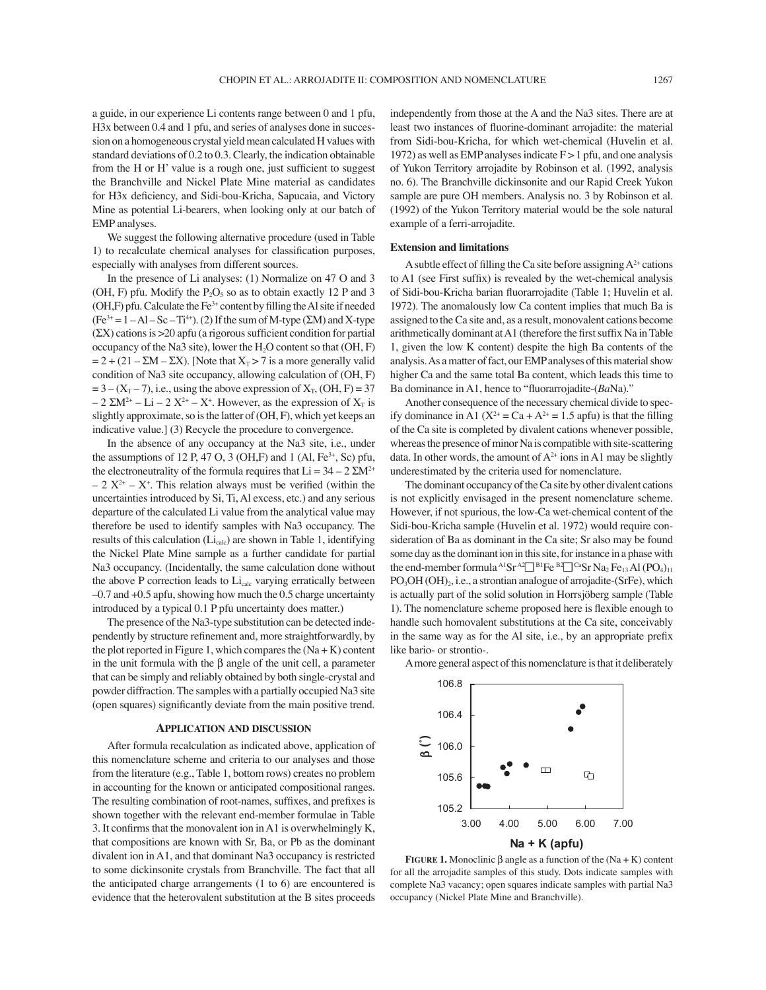a guide, in our experience Li contents range between 0 and 1 pfu, H3x between 0.4 and 1 pfu, and series of analyses done in succession on a homogeneous crystal yield mean calculated H values with standard deviations of 0.2 to 0.3. Clearly, the indication obtainable from the H or H' value is a rough one, just sufficient to suggest the Branchville and Nickel Plate Mine material as candidates for H3x deficiency, and Sidi-bou-Kricha, Sapucaia, and Victory Mine as potential Li-bearers, when looking only at our batch of EMP analyses.

We suggest the following alternative procedure (used in Table 1) to recalculate chemical analyses for classification purposes, especially with analyses from different sources.

In the presence of Li analyses: (1) Normalize on 47 O and 3 (OH, F) pfu. Modify the  $P_2O_5$  so as to obtain exactly 12 P and 3 (OH,F) pfu. Calculate the  $Fe<sup>3+</sup>$  content by filling the Al site if needed  $(Fe^{3+} = 1 - Al - Sc - Ti^{4+})$ . (2) If the sum of M-type (ΣM) and X-type  $(\Sigma X)$  cations is >20 apfu (a rigorous sufficient condition for partial occupancy of the Na3 site), lower the  $H_2O$  content so that  $(OH, F)$  $= 2 + (21 - \Sigma M - \Sigma X)$ . [Note that  $X_T > 7$  is a more generally valid condition of Na3 site occupancy, allowing calculation of (OH, F)  $= 3 - (X_T - 7)$ , i.e., using the above expression of  $X_T$ , (OH, F) = 37  $-2 \Sigma M^{2+} - \text{Li} - 2 X^{2+} - X^+$ . However, as the expression of  $X_T$  is slightly approximate, so is the latter of (OH, F), which yet keeps an indicative value.] (3) Recycle the procedure to convergence.

In the absence of any occupancy at the Na3 site, i.e., under the assumptions of 12 P, 47 O, 3 (OH, F) and 1 (Al, Fe<sup>3+</sup>, Sc) pfu, the electroneutrality of the formula requires that  $Li = 34 - 2 \Sigma M^{2+}$  $-2 X^{2+} - X^+$ . This relation always must be verified (within the uncertainties introduced by Si, Ti, Al excess, etc.) and any serious departure of the calculated Li value from the analytical value may therefore be used to identify samples with Na3 occupancy. The results of this calculation  $(L_{\text{calc}})$  are shown in Table 1, identifying the Nickel Plate Mine sample as a further candidate for partial Na3 occupancy. (Incidentally, the same calculation done without the above P correction leads to  $Li<sub>calc</sub>$  varying erratically between  $-0.7$  and  $+0.5$  apfu, showing how much the 0.5 charge uncertainty introduced by a typical 0.1 P pfu uncertainty does matter.)

The presence of the Na3-type substitution can be detected independently by structure refinement and, more straightforwardly, by the plot reported in Figure 1, which compares the  $(Na + K)$  content in the unit formula with the β angle of the unit cell, a parameter that can be simply and reliably obtained by both single-crystal and powder diffraction. The samples with a partially occupied Na3 site (open squares) significantly deviate from the main positive trend.

#### **APPLICATION AND DISCUSSION**

After formula recalculation as indicated above, application of this nomenclature scheme and criteria to our analyses and those from the literature (e.g., Table 1, bottom rows) creates no problem in accounting for the known or anticipated compositional ranges. The resulting combination of root-names, suffixes, and prefixes is shown together with the relevant end-member formulae in Table 3. It confirms that the monovalent ion in A1 is overwhelmingly  $K$ , that compositions are known with Sr, Ba, or Pb as the dominant divalent ion in A1, and that dominant Na3 occupancy is restricted to some dickinsonite crystals from Branchville. The fact that all the anticipated charge arrangements (1 to 6) are encountered is evidence that the heterovalent substitution at the B sites proceeds

independently from those at the A and the Na3 sites. There are at least two instances of fluorine-dominant arrojadite: the material from Sidi-bou-Kricha, for which wet-chemical (Huvelin et al. 1972) as well as EMP analyses indicate  $F > 1$  pfu, and one analysis of Yukon Territory arrojadite by Robinson et al. (1992, analysis no. 6). The Branchville dickinsonite and our Rapid Creek Yukon sample are pure OH members. Analysis no. 3 by Robinson et al. (1992) of the Yukon Territory material would be the sole natural example of a ferri-arrojadite.

#### **Extension and limitations**

A subtle effect of filling the Ca site before assigning  $A^{2+}$  cations to A1 (see First suffix) is revealed by the wet-chemical analysis of Sidi-bou-Kricha barian fluorarrojadite (Table 1; Huvelin et al. 1972). The anomalously low Ca content implies that much Ba is assigned to the Ca site and, as a result, monovalent cations become arithmetically dominant at A1 (therefore the first suffix  $Na$  in Table 1, given the low K content) despite the high Ba contents of the analysis. As a matter of fact, our EMP analyses of this material show higher Ca and the same total Ba content, which leads this time to Ba dominance in A1, hence to "fluorarrojadite-(*Ba*Na)."

Another consequence of the necessary chemical divide to specify dominance in A1 ( $X^{2+} = Ca + A^{2+} = 1.5$  apfu) is that the filling of the Ca site is completed by divalent cations whenever possible, whereas the presence of minor Na is compatible with site-scattering data. In other words, the amount of  $A^{2+}$  ions in A1 may be slightly underestimated by the criteria used for nomenclature.

The dominant occupancy of the Ca site by other divalent cations is not explicitly envisaged in the present nomenclature scheme. However, if not spurious, the low-Ca wet-chemical content of the Sidi-bou-Kricha sample (Huvelin et al. 1972) would require consideration of Ba as dominant in the Ca site; Sr also may be found some day as the dominant ion in this site, for instance in a phase with the end-member formula  $^{A1}Sr^{A2}$   $\Box$   $^{B1}Fe^{B2}$   $\Box$   $^{Ca}Sr$   $Na_2$   $Fe_{13}$  Al  $(PO_4)_{11}$  $PO<sub>3</sub>OH (OH)<sub>2</sub>$ , i.e., a strontian analogue of arrojadite-(SrFe), which is actually part of the solid solution in Horrsjöberg sample (Table 1). The nomenclature scheme proposed here is flexible enough to handle such homovalent substitutions at the Ca site, conceivably in the same way as for the Al site, i.e., by an appropriate prefix like bario- or strontio-.

A more general aspect of this nomenclature is that it deliberately



**FIGURE 1.** Monoclinic  $\beta$  angle as a function of the (Na + K) content for all the arrojadite samples of this study. Dots indicate samples with complete Na3 vacancy; open squares indicate samples with partial Na3 occupancy (Nickel Plate Mine and Branchville).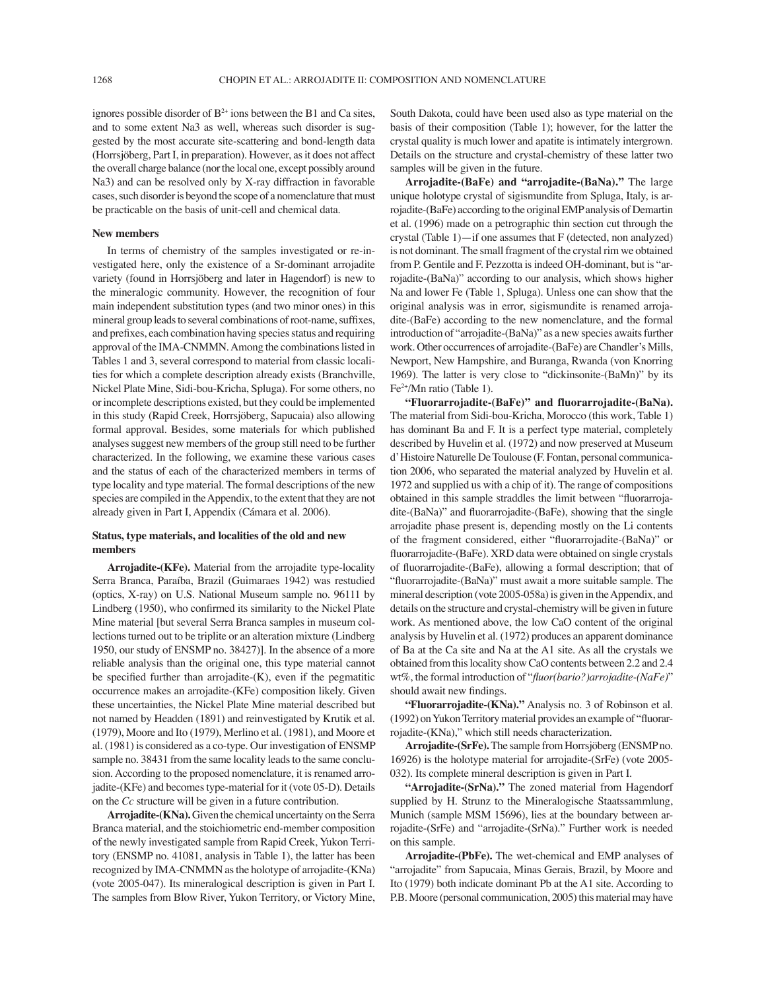ignores possible disorder of  $B^{2+}$  ions between the B1 and Ca sites, and to some extent Na3 as well, whereas such disorder is suggested by the most accurate site-scattering and bond-length data (Horrsjöberg, Part I, in preparation). However, as it does not affect the overall charge balance (nor the local one, except possibly around Na3) and can be resolved only by X-ray diffraction in favorable cases, such disorder is beyond the scope of a nomenclature that must be practicable on the basis of unit-cell and chemical data.

#### **New members**

In terms of chemistry of the samples investigated or re-investigated here, only the existence of a Sr-dominant arrojadite variety (found in Horrsjöberg and later in Hagendorf) is new to the mineralogic community. However, the recognition of four main independent substitution types (and two minor ones) in this mineral group leads to several combinations of root-name, suffixes, and prefixes, each combination having species status and requiring approval of the IMA-CNMMN. Among the combinations listed in Tables 1 and 3, several correspond to material from classic localities for which a complete description already exists (Branchville, Nickel Plate Mine, Sidi-bou-Kricha, Spluga). For some others, no or incomplete descriptions existed, but they could be implemented in this study (Rapid Creek, Horrsjöberg, Sapucaia) also allowing formal approval. Besides, some materials for which published analyses suggest new members of the group still need to be further characterized. In the following, we examine these various cases and the status of each of the characterized members in terms of type locality and type material. The formal descriptions of the new species are compiled in the Appendix, to the extent that they are not already given in Part I, Appendix (Cámara et al. 2006).

## **Status, type materials, and localities of the old and new members**

**Arrojadite-(KFe).** Material from the arrojadite type-locality Serra Branca, Paraíba, Brazil (Guimaraes 1942) was restudied (optics, X-ray) on U.S. National Museum sample no. 96111 by Lindberg (1950), who confirmed its similarity to the Nickel Plate Mine material [but several Serra Branca samples in museum collections turned out to be triplite or an alteration mixture (Lindberg 1950, our study of ENSMP no. 38427)]. In the absence of a more reliable analysis than the original one, this type material cannot be specified further than arrojadite- $(K)$ , even if the pegmatitic occurrence makes an arrojadite-(KFe) composition likely. Given these uncertainties, the Nickel Plate Mine material described but not named by Headden (1891) and reinvestigated by Krutik et al. (1979), Moore and Ito (1979), Merlino et al. (1981), and Moore et al. (1981) is considered as a co-type. Our investigation of ENSMP sample no. 38431 from the same locality leads to the same conclusion. According to the proposed nomenclature, it is renamed arrojadite-(KFe) and becomes type-material for it (vote 05-D). Details on the *Cc* structure will be given in a future contribution.

**Arrojadite-(KNa).**Given the chemical uncertainty on the Serra Branca material, and the stoichiometric end-member composition of the newly investigated sample from Rapid Creek, Yukon Territory (ENSMP no. 41081, analysis in Table 1), the latter has been recognized by IMA-CNMMN as the holotype of arrojadite-(KNa) (vote 2005-047). Its mineralogical description is given in Part I. The samples from Blow River, Yukon Territory, or Victory Mine,

South Dakota, could have been used also as type material on the basis of their composition (Table 1); however, for the latter the crystal quality is much lower and apatite is intimately intergrown. Details on the structure and crystal-chemistry of these latter two samples will be given in the future.

Arrojadite-(BaFe) and "arrojadite-(BaNa)." The large unique holotype crystal of sigismundite from Spluga, Italy, is arrojadite-(BaFe) according to the original EMP analysis of Demartin et al. (1996) made on a petrographic thin section cut through the crystal (Table 1)—if one assumes that F (detected, non analyzed) is not dominant. The small fragment of the crystal rim we obtained from P. Gentile and F. Pezzotta is indeed OH-dominant, but is "arrojadite-(BaNa)" according to our analysis, which shows higher Na and lower Fe (Table 1, Spluga). Unless one can show that the original analysis was in error, sigismundite is renamed arrojadite-(BaFe) according to the new nomenclature, and the formal introduction of "arrojadite-(BaNa)" as a new species awaits further work. Other occurrences of arrojadite-(BaFe) are Chandler's Mills, Newport, New Hampshire, and Buranga, Rwanda (von Knorring 1969). The latter is very close to "dickinsonite-(BaMn)" by its Fe2+/Mn ratio (Table 1).

**ìFluorarrojadite-(BaFe)î and fluorarrojadite-(BaNa).** The material from Sidi-bou-Kricha, Morocco (this work, Table 1) has dominant Ba and F. It is a perfect type material, completely described by Huvelin et al. (1972) and now preserved at Museum d'Histoire Naturelle De Toulouse (F. Fontan, personal communication 2006, who separated the material analyzed by Huvelin et al. 1972 and supplied us with a chip of it). The range of compositions obtained in this sample straddles the limit between "fluorarrojadite-(BaNa)" and fluorarrojadite-(BaFe), showing that the single arrojadite phase present is, depending mostly on the Li contents of the fragment considered, either "fluorarrojadite-(BaNa)" or fluorarrojadite-(BaFe). XRD data were obtained on single crystals of fluorarrojadite-(BaFe), allowing a formal description; that of "fluorarrojadite-(BaNa)" must await a more suitable sample. The mineral description (vote 2005-058a) is given in the Appendix, and details on the structure and crystal-chemistry will be given in future work. As mentioned above, the low CaO content of the original analysis by Huvelin et al. (1972) produces an apparent dominance of Ba at the Ca site and Na at the A1 site. As all the crystals we obtained from this locality show CaO contents between 2.2 and 2.4 wt%, the formal introduction of "*fluor(bario?)arrojadite-(NaFe)*" should await new findings.

**'Fluorarrojadite-(KNa).**" Analysis no. 3 of Robinson et al. (1992) on Yukon Territory material provides an example of "fluorarrojadite-(KNa)," which still needs characterization.

Arrojadite-(SrFe). The sample from Horrsjöberg (ENSMP no. 16926) is the holotype material for arrojadite-(SrFe) (vote 2005- 032). Its complete mineral description is given in Part I.

"Arrojadite-(SrNa)." The zoned material from Hagendorf supplied by H. Strunz to the Mineralogische Staatssammlung, Munich (sample MSM 15696), lies at the boundary between arrojadite-(SrFe) and "arrojadite-(SrNa)." Further work is needed on this sample.

**Arrojadite-(PbFe).** The wet-chemical and EMP analyses of "arrojadite" from Sapucaia, Minas Gerais, Brazil, by Moore and Ito (1979) both indicate dominant Pb at the A1 site. According to P.B. Moore (personal communication, 2005) this material may have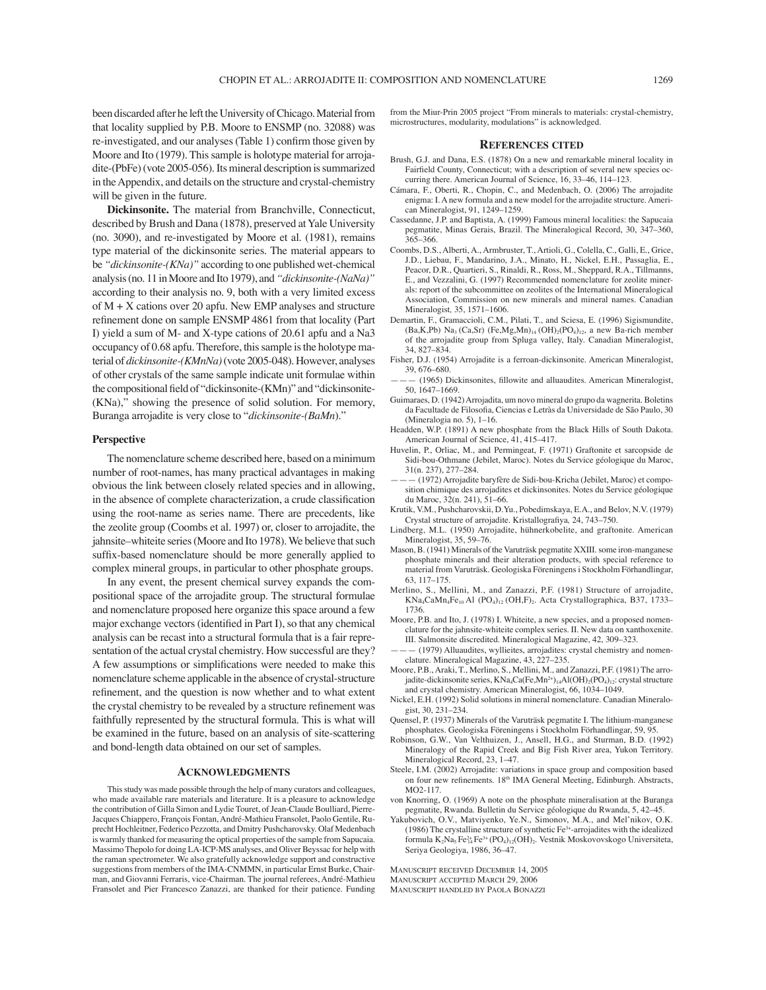been discarded after he left the University of Chicago. Material from that locality supplied by P.B. Moore to ENSMP (no. 32088) was re-investigated, and our analyses (Table 1) confirm those given by Moore and Ito (1979). This sample is holotype material for arrojadite-(PbFe) (vote 2005-056). Its mineral description is summarized in the Appendix, and details on the structure and crystal-chemistry will be given in the future.

**Dickinsonite.** The material from Branchville, Connecticut, described by Brush and Dana (1878), preserved at Yale University (no. 3090), and re-investigated by Moore et al. (1981), remains type material of the dickinsonite series. The material appears to be "dickinsonite-(KNa)" according to one published wet-chemical analysis (no. 11 in Moore and Ito 1979), and "dickinsonite-(NaNa)" according to their analysis no. 9, both with a very limited excess of  $M + X$  cations over 20 apfu. New EMP analyses and structure refinement done on sample ENSMP 4861 from that locality (Part I) yield a sum of M- and X-type cations of 20.61 apfu and a Na3 occupancy of 0.68 apfu. Therefore, this sample is the holotype material of *dickinsonite-(KMnNa)* (vote 2005-048). However, analyses of other crystals of the same sample indicate unit formulae within the compositional field of "dickinsonite-(KMn)" and "dickinsonite- $(KNa)$ ," showing the presence of solid solution. For memory, Buranga arrojadite is very close to "dickinsonite-(BaMn)."

#### **Perspective**

The nomenclature scheme described here, based on a minimum number of root-names, has many practical advantages in making obvious the link between closely related species and in allowing, in the absence of complete characterization, a crude classification using the root-name as series name. There are precedents, like the zeolite group (Coombs et al. 1997) or, closer to arrojadite, the jahnsite–whiteite series (Moore and Ito 1978). We believe that such suffix-based nomenclature should be more generally applied to complex mineral groups, in particular to other phosphate groups.

In any event, the present chemical survey expands the compositional space of the arrojadite group. The structural formulae and nomenclature proposed here organize this space around a few major exchange vectors (identified in Part I), so that any chemical analysis can be recast into a structural formula that is a fair representation of the actual crystal chemistry. How successful are they? A few assumptions or simplifications were needed to make this nomenclature scheme applicable in the absence of crystal-structure refinement, and the question is now whether and to what extent the crystal chemistry to be revealed by a structure refinement was faithfully represented by the structural formula. This is what will be examined in the future, based on an analysis of site-scattering and bond-length data obtained on our set of samples.

#### **ACKNOWLEDGMENTS**

This study was made possible through the help of many curators and colleagues, who made available rare materials and literature. It is a pleasure to acknowledge the contribution of Gilla Simon and Lydie Touret, of Jean-Claude Boulliard, Pierre-Jacques Chiappero, François Fontan, André-Mathieu Fransolet, Paolo Gentile, Ruprecht Hochleitner, Federico Pezzotta, and Dmitry Pushcharovsky. Olaf Medenbach is warmly thanked for measuring the optical properties of the sample from Sapucaia. Massimo Thepolo for doing LA-ICP-MS analyses, and Oliver Beyssac for help with the raman spectrometer. We also gratefully acknowledge support and constructive suggestions from members of the IMA-CNMMN, in particular Ernst Burke, Chairman, and Giovanni Ferraris, vice-Chairman. The journal referees, André-Mathieu Fransolet and Pier Francesco Zanazzi, are thanked for their patience. Funding

from the Miur-Prin 2005 project "From minerals to materials: crystal-chemistry, microstructures, modularity, modulations" is acknowledged.

#### **REFERENCES CITED**

- Brush, G.J. and Dana, E.S. (1878) On a new and remarkable mineral locality in Fairfield County, Connecticut; with a description of several new species occurring there. American Journal of Science, 16, 33-46, 114-123.
- Cámara, F., Oberti, R., Chopin, C., and Medenbach, O. (2006) The arrojadite enigma: I. A new formula and a new model for the arrojadite structure. American Mineralogist, 91, 1249-1259.
- Cassedanne, J.P. and Baptista, A. (1999) Famous mineral localities: the Sapucaia pegmatite, Minas Gerais, Brazil. The Mineralogical Record, 30, 347-360,  $365 - 366$
- Coombs, D.S., Alberti, A., Armbruster, T., Artioli, G., Colella, C., Galli, E., Grice, J.D., Liebau, F., Mandarino, J.A., Minato, H., Nickel, E.H., Passaglia, E., Peacor, D.R., Quartieri, S., Rinaldi, R., Ross, M., Sheppard, R.A., Tillmanns, E., and Vezzalini, G. (1997) Recommended nomenclature for zeolite minerals: report of the subcommittee on zeolites of the International Mineralogical Association, Commission on new minerals and mineral names. Canadian Mineralogist, 35, 1571-1606.
- Demartin, F., Gramaccioli, C.M., Pilati, T., and Sciesa, E. (1996) Sigismundite, (Ba,K,Pb) Na<sub>3</sub> (Ca,Sr) (Fe,Mg,Mn)<sub>14</sub> (OH)<sub>2</sub>(PO<sub>4</sub>)<sub>12</sub>, a new Ba-rich member of the arrojadite group from Spluga valley, Italy. Canadian Mineralogist, 34, 827-834.
- Fisher, D.J. (1954) Arrojadite is a ferroan-dickinsonite. American Mineralogist, 39, 676-680.
- (1965) Dickinsonites, fillowite and alluaudites. American Mineralogist, 50, 1647-1669.
- Guimaraes, D. (1942) Arrojadita, um novo mineral do grupo da wagnerita. Boletins da Facultade de Filosofia, Ciencias e Letràs da Universidade de São Paulo, 30 (Mineralogia no. 5),  $1-16$ .
- Headden, W.P. (1891) A new phosphate from the Black Hills of South Dakota. American Journal of Science,  $41, 415-417$ .
- Huvelin, P., Orliac, M., and Permingeat, F. (1971) Graftonite et sarcopside de Sidi-bou-Othmane (Jebilet, Maroc). Notes du Service géologique du Maroc,  $31(n. 237)$ ,  $277-284$ .
- óóó (1972) Arrojadite baryfËre de Sidi-bou-Kricha (Jebilet, Maroc) et composition chimique des arrojadites et dickinsonites. Notes du Service géologique du Maroc, 32(n. 241), 51-66.
- Krutik, V.M., Pushcharovskii, D.Yu., Pobedimskaya, E.A., and Belov, N.V. (1979) Crystal structure of arrojadite. Kristallografiya, 24, 743-750.
- Lindberg, M.L. (1950) Arrojadite, hühnerkobelite, and graftonite. American Mineralogist, 35, 59-76.
- Mason, B. (1941) Minerals of the Varuträsk pegmatite XXIII. some iron-manganese phosphate minerals and their alteration products, with special reference to material from Varuträsk. Geologiska Föreningens i Stockholm Förhandlingar, 63, 117-175
- Merlino, S., Mellini, M., and Zanazzi, P.F. (1981) Structure of arrojadite, KNa<sub>4</sub>CaMn<sub>4</sub>Fe<sub>10</sub> Al (PO<sub>4</sub>)<sub>12</sub> (OH,F)<sub>2</sub>. Acta Crystallographica, B37, 1733-1736.
- Moore, P.B. and Ito, J. (1978) I. Whiteite, a new species, and a proposed nomenclature for the jahnsite-whiteite complex series. II. New data on xanthoxenite. III. Salmonsite discredited. Mineralogical Magazine, 42, 309-323.
- (1979) Alluaudites, wyllieites, arrojadites: crystal chemistry and nomenclature. Mineralogical Magazine, 43, 227-235.
- Moore, P.B., Araki, T., Merlino, S., Mellini, M., and Zanazzi, P.F. (1981) The arrojadite-dickinsonite series, KNa<sub>4</sub>Ca(Fe,Mn<sup>2+</sup>)<sub>14</sub>Al(OH)<sub>2</sub>(PO<sub>4</sub>)<sub>12</sub>: crystal structure and crystal chemistry. American Mineralogist, 66, 1034-1049.
- Nickel, E.H. (1992) Solid solutions in mineral nomenclature. Canadian Mineralogist, 30, 231-234.
- Quensel, P. (1937) Minerals of the Varuträsk pegmatite I. The lithium-manganese phosphates. Geologiska Föreningens i Stockholm Förhandlingar, 59, 95.
- Robinson, G.W., Van Velthuizen, J., Ansell, H.G., and Sturman, B.D. (1992) Mineralogy of the Rapid Creek and Big Fish River area, Yukon Territory. Mineralogical Record, 23, 1-47.
- Steele, I.M. (2002) Arrojadite: variations in space group and composition based on four new refinements. 18<sup>th</sup> IMA General Meeting, Edinburgh. Abstracts, MO2-117.
- von Knorring, O. (1969) A note on the phosphate mineralisation at the Buranga pegmatite, Rwanda. Bulletin du Service géologique du Rwanda, 5, 42-45.
- Yakubovich, O.V., Matviyenko, Ye.N., Simonov, M.A., and Mel'nikov, O.K. (1986) The crystalline structure of synthetic  $Fe^{3+}$ -arrojadites with the idealized formula  $K_2Na_5Fe^{2+}_{14}Fe^{3+}(PO_4)_{12}(OH)_2$ . Vestnik Moskovovskogo Universiteta, Seriya Geologiya, 1986, 36-47.

MANUSCRIPT RECEIVED DECEMBER 14, 2005 MANUSCRIPT ACCEPTED MARCH 29, 2006 MANUSCRIPT HANDLED BY PAOLA BONAZZI